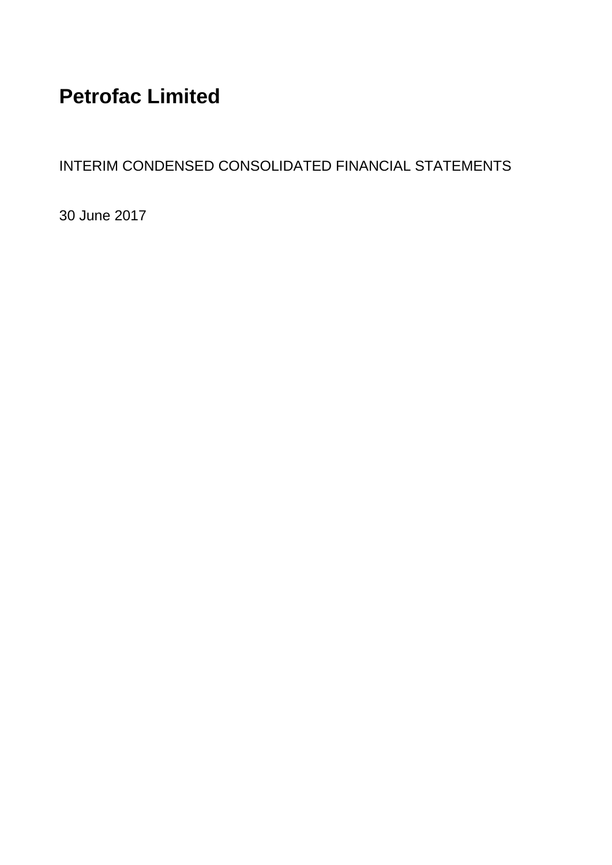# **Petrofac Limited**

INTERIM CONDENSED CONSOLIDATED FINANCIAL STATEMENTS

30 June 2017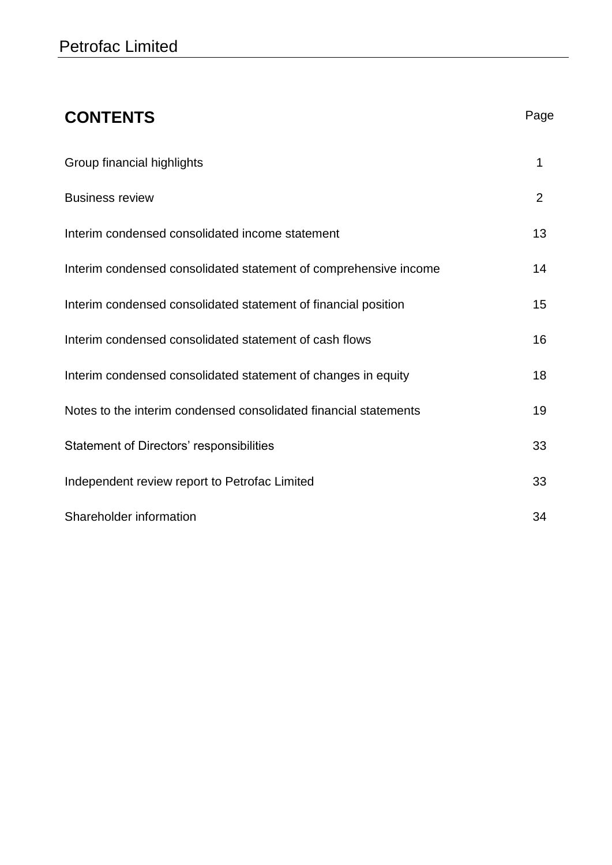| <b>CONTENTS</b>                                                  | Page           |
|------------------------------------------------------------------|----------------|
| Group financial highlights                                       | 1              |
| <b>Business review</b>                                           | $\overline{2}$ |
| Interim condensed consolidated income statement                  | 13             |
| Interim condensed consolidated statement of comprehensive income | 14             |
| Interim condensed consolidated statement of financial position   | 15             |
| Interim condensed consolidated statement of cash flows           | 16             |
| Interim condensed consolidated statement of changes in equity    | 18             |
| Notes to the interim condensed consolidated financial statements | 19             |
| Statement of Directors' responsibilities                         | 33             |
| Independent review report to Petrofac Limited                    | 33             |
| Shareholder information                                          | 34             |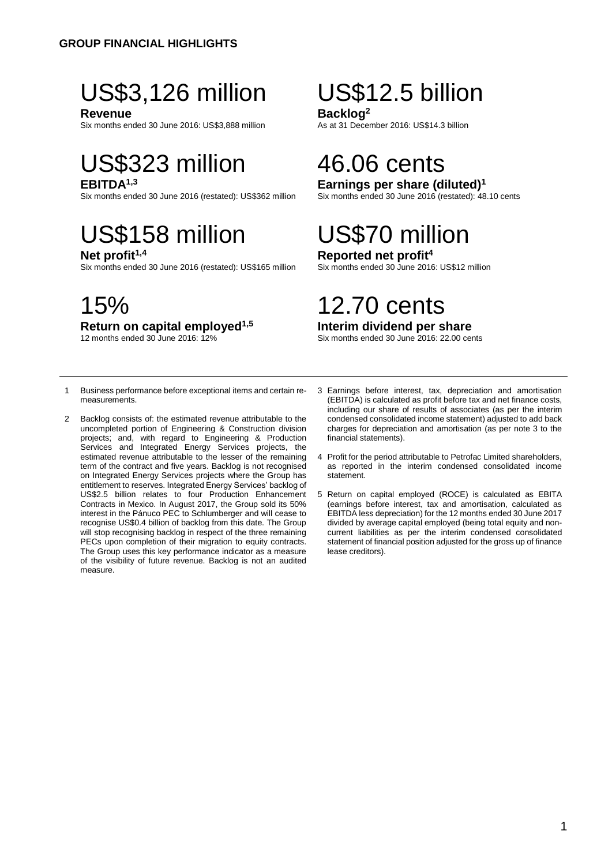# US\$3,126 million US\$12.5 billion

**Revenue**<br>Six months ended 30 June 2016: US\$3,888 million<br>As at 31 December 2016: US\$14.3 billion Six months ended 30 June 2016: US\$3,888 million

# US\$323 million 46.06 cents

Six months ended 30 June 2016 (restated): US\$362 million

# US\$158 million US\$70 million<br>
Net profit<sup>1,4</sup><br>
Reported net profit<sup>4</sup>

Six months ended 30 June 2016 (restated): US\$165 million

**Return on capital employed<sup>1,5</sup>**<br>12 months ended 30 June 2016: 12%

## **EBITDA<sup>1,3</sup> Earnings per share (diluted)<sup>1</sup> Earnings per share (diluted)**<sup>1</sup> Six months ended 30 June 2016 (restated): 48.10 cents

**Reported net profit<sup>4</sup><br>Six months ended 30 June 2016: US\$12 million** 

# 15% 12.70 cents

### **Interim dividend per share**

Six months ended 30 June 2016: 22.00 cents

- 1 Business performance before exceptional items and certain remeasurements.
- 2 Backlog consists of: the estimated revenue attributable to the uncompleted portion of Engineering & Construction division projects; and, with regard to Engineering & Production Services and Integrated Energy Services projects, the estimated revenue attributable to the lesser of the remaining term of the contract and five years. Backlog is not recognised on Integrated Energy Services projects where the Group has entitlement to reserves. Integrated Energy Services' backlog of US\$2.5 billion relates to four Production Enhancement Contracts in Mexico. In August 2017, the Group sold its 50% interest in the Pánuco PEC to Schlumberger and will cease to recognise US\$0.4 billion of backlog from this date. The Group will stop recognising backlog in respect of the three remaining PECs upon completion of their migration to equity contracts. The Group uses this key performance indicator as a measure of the visibility of future revenue. Backlog is not an audited measure.
- 3 Earnings before interest, tax, depreciation and amortisation (EBITDA) is calculated as profit before tax and net finance costs, including our share of results of associates (as per the interim condensed consolidated income statement) adjusted to add back charges for depreciation and amortisation (as per note 3 to the financial statements).
- 4 Profit for the period attributable to Petrofac Limited shareholders, as reported in the interim condensed consolidated income statement.
- 5 Return on capital employed (ROCE) is calculated as EBITA (earnings before interest, tax and amortisation, calculated as EBITDA less depreciation) for the 12 months ended 30 June 2017 divided by average capital employed (being total equity and noncurrent liabilities as per the interim condensed consolidated statement of financial position adjusted for the gross up of finance lease creditors).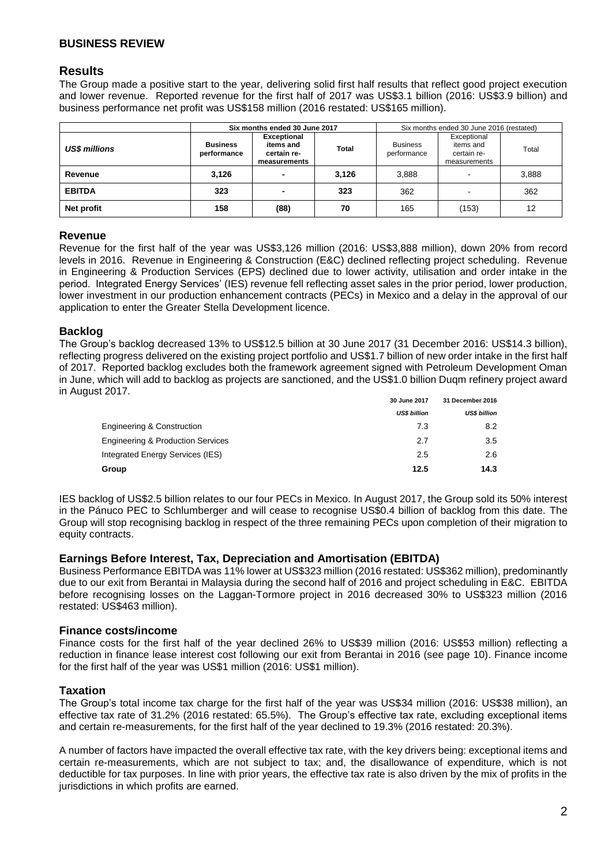#### **Results**

The Group made a positive start to the year, delivering solid first half results that reflect good project execution and lower revenue. Reported revenue for the first half of 2017 was US\$3.1 billion (2016: US\$3.9 billion) and business performance net profit was US\$158 million (2016 restated: US\$165 million).

|                      | Six months ended 30 June 2017  |                                                                |              | Six months ended 30 June 2016 (restated) |                                                         |       |
|----------------------|--------------------------------|----------------------------------------------------------------|--------------|------------------------------------------|---------------------------------------------------------|-------|
| <b>US\$ millions</b> | <b>Business</b><br>performance | <b>Exceptional</b><br>items and<br>certain re-<br>measurements | <b>Total</b> | <b>Business</b><br>performance           | Exceptional<br>items and<br>certain re-<br>measurements | Total |
| Revenue              | 3.126                          | -                                                              | 3.126        | 3.888                                    | $\overline{\phantom{0}}$                                | 3,888 |
| <b>EBITDA</b>        | 323                            | -                                                              | 323          | 362                                      |                                                         | 362   |
| Net profit           | 158                            | (88)                                                           | 70           | 165                                      | (153)                                                   | 12    |

#### **Revenue**

Revenue for the first half of the year was US\$3,126 million (2016: US\$3,888 million), down 20% from record levels in 2016. Revenue in Engineering & Construction (E&C) declined reflecting project scheduling. Revenue in Engineering & Production Services (EPS) declined due to lower activity, utilisation and order intake in the period. Integrated Energy Services' (IES) revenue fell reflecting asset sales in the prior period, lower production, lower investment in our production enhancement contracts (PECs) in Mexico and a delay in the approval of our application to enter the Greater Stella Development licence.

#### **Backlog**

The Group's backlog decreased 13% to US\$12.5 billion at 30 June 2017 (31 December 2016: US\$14.3 billion), reflecting progress delivered on the existing project portfolio and US\$1.7 billion of new order intake in the first half of 2017. Reported backlog excludes both the framework agreement signed with Petroleum Development Oman in June, which will add to backlog as projects are sanctioned, and the US\$1.0 billion Duqm refinery project award in August 2017.

|                                              | 30 June 2017        | 31 December 2016    |  |
|----------------------------------------------|---------------------|---------------------|--|
|                                              | <b>US\$ billion</b> | <b>US\$ billion</b> |  |
| <b>Engineering &amp; Construction</b>        | 7.3                 | 8.2                 |  |
| <b>Engineering &amp; Production Services</b> | 2.7                 | 3.5                 |  |
| Integrated Energy Services (IES)             | 2.5                 | 2.6                 |  |
| Group                                        | 12.5                | 14.3                |  |

IES backlog of US\$2.5 billion relates to our four PECs in Mexico. In August 2017, the Group sold its 50% interest in the Pánuco PEC to Schlumberger and will cease to recognise US\$0.4 billion of backlog from this date. The Group will stop recognising backlog in respect of the three remaining PECs upon completion of their migration to equity contracts.

#### **Earnings Before Interest, Tax, Depreciation and Amortisation (EBITDA)**

Business Performance EBITDA was 11% lower at US\$323 million (2016 restated: US\$362 million), predominantly due to our exit from Berantai in Malaysia during the second half of 2016 and project scheduling in E&C. EBITDA before recognising losses on the Laggan-Tormore project in 2016 decreased 30% to US\$323 million (2016 restated: US\$463 million).

#### **Finance costs/income**

Finance costs for the first half of the year declined 26% to US\$39 million (2016: US\$53 million) reflecting a reduction in finance lease interest cost following our exit from Berantai in 2016 (see page 10). Finance income for the first half of the year was US\$1 million (2016: US\$1 million).

#### **Taxation**

The Group's total income tax charge for the first half of the year was US\$34 million (2016: US\$38 million), an effective tax rate of 31.2% (2016 restated: 65.5%). The Group's effective tax rate, excluding exceptional items and certain re-measurements, for the first half of the year declined to 19.3% (2016 restated: 20.3%).

A number of factors have impacted the overall effective tax rate, with the key drivers being: exceptional items and certain re-measurements, which are not subject to tax; and, the disallowance of expenditure, which is not deductible for tax purposes. In line with prior years, the effective tax rate is also driven by the mix of profits in the jurisdictions in which profits are earned.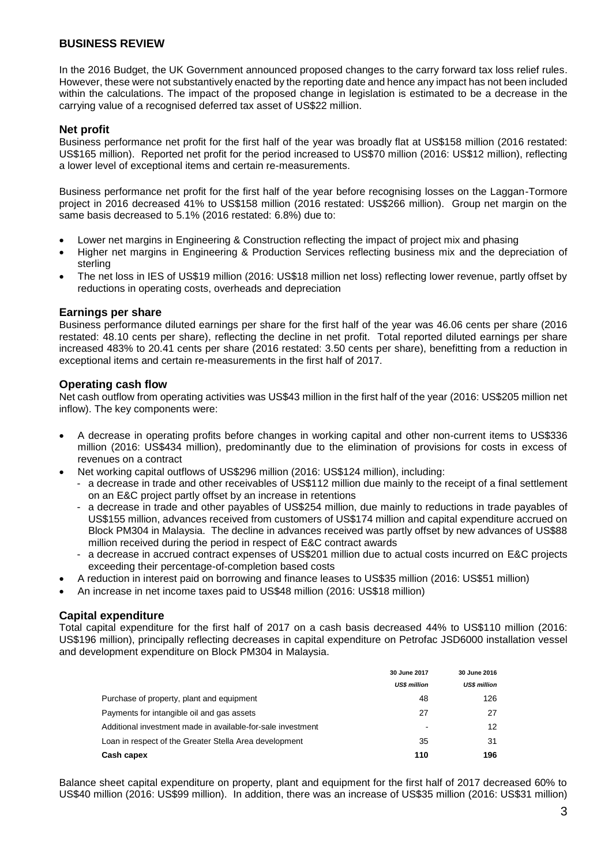In the 2016 Budget, the UK Government announced proposed changes to the carry forward tax loss relief rules. However, these were not substantively enacted by the reporting date and hence any impact has not been included within the calculations. The impact of the proposed change in legislation is estimated to be a decrease in the carrying value of a recognised deferred tax asset of US\$22 million.

#### **Net profit**

Business performance net profit for the first half of the year was broadly flat at US\$158 million (2016 restated: US\$165 million). Reported net profit for the period increased to US\$70 million (2016: US\$12 million), reflecting a lower level of exceptional items and certain re-measurements.

Business performance net profit for the first half of the year before recognising losses on the Laggan-Tormore project in 2016 decreased 41% to US\$158 million (2016 restated: US\$266 million). Group net margin on the same basis decreased to 5.1% (2016 restated: 6.8%) due to:

- Lower net margins in Engineering & Construction reflecting the impact of project mix and phasing
- Higher net margins in Engineering & Production Services reflecting business mix and the depreciation of sterling
- The net loss in IES of US\$19 million (2016: US\$18 million net loss) reflecting lower revenue, partly offset by reductions in operating costs, overheads and depreciation

#### **Earnings per share**

Business performance diluted earnings per share for the first half of the year was 46.06 cents per share (2016 restated: 48.10 cents per share), reflecting the decline in net profit. Total reported diluted earnings per share increased 483% to 20.41 cents per share (2016 restated: 3.50 cents per share), benefitting from a reduction in exceptional items and certain re-measurements in the first half of 2017.

#### **Operating cash flow**

Net cash outflow from operating activities was US\$43 million in the first half of the year (2016: US\$205 million net inflow). The key components were:

- A decrease in operating profits before changes in working capital and other non-current items to US\$336 million (2016: US\$434 million), predominantly due to the elimination of provisions for costs in excess of revenues on a contract
- Net working capital outflows of US\$296 million (2016: US\$124 million), including:
	- a decrease in trade and other receivables of US\$112 million due mainly to the receipt of a final settlement on an E&C project partly offset by an increase in retentions
	- a decrease in trade and other payables of US\$254 million, due mainly to reductions in trade payables of US\$155 million, advances received from customers of US\$174 million and capital expenditure accrued on Block PM304 in Malaysia. The decline in advances received was partly offset by new advances of US\$88 million received during the period in respect of E&C contract awards
	- a decrease in accrued contract expenses of US\$201 million due to actual costs incurred on E&C projects exceeding their percentage-of-completion based costs
- A reduction in interest paid on borrowing and finance leases to US\$35 million (2016: US\$51 million)
- An increase in net income taxes paid to US\$48 million (2016: US\$18 million)

#### **Capital expenditure**

Total capital expenditure for the first half of 2017 on a cash basis decreased 44% to US\$110 million (2016: US\$196 million), principally reflecting decreases in capital expenditure on Petrofac JSD6000 installation vessel and development expenditure on Block PM304 in Malaysia.

|                                                             | 30 June 2017                 | 30 June 2016        |
|-------------------------------------------------------------|------------------------------|---------------------|
|                                                             | <b>US\$ million</b>          | <b>US\$ million</b> |
| Purchase of property, plant and equipment                   | 48                           | 126                 |
| Payments for intangible oil and gas assets                  | 27                           | 27                  |
| Additional investment made in available-for-sale investment | $\qquad \qquad \blacksquare$ | 12                  |
| Loan in respect of the Greater Stella Area development      | 35                           | 31                  |
| Cash capex                                                  | 110                          | 196                 |

Balance sheet capital expenditure on property, plant and equipment for the first half of 2017 decreased 60% to US\$40 million (2016: US\$99 million). In addition, there was an increase of US\$35 million (2016: US\$31 million)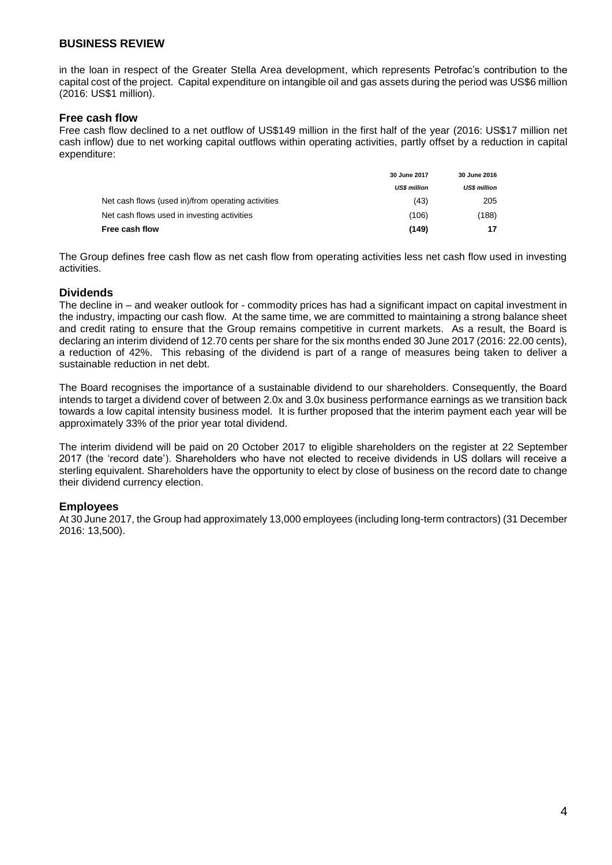in the loan in respect of the Greater Stella Area development, which represents Petrofac's contribution to the capital cost of the project. Capital expenditure on intangible oil and gas assets during the period was US\$6 million (2016: US\$1 million).

#### **Free cash flow**

Free cash flow declined to a net outflow of US\$149 million in the first half of the year (2016: US\$17 million net cash inflow) due to net working capital outflows within operating activities, partly offset by a reduction in capital expenditure:

|                                                    | 30 June 2017        | 30 June 2016        |
|----------------------------------------------------|---------------------|---------------------|
|                                                    | <b>US\$ million</b> | <b>US\$ million</b> |
| Net cash flows (used in)/from operating activities | (43)                | 205                 |
| Net cash flows used in investing activities        | (106)               | (188)               |
| Free cash flow                                     | (149)               |                     |

The Group defines free cash flow as net cash flow from operating activities less net cash flow used in investing activities.

#### **Dividends**

The decline in – and weaker outlook for - commodity prices has had a significant impact on capital investment in the industry, impacting our cash flow. At the same time, we are committed to maintaining a strong balance sheet and credit rating to ensure that the Group remains competitive in current markets. As a result, the Board is declaring an interim dividend of 12.70 cents per share for the six months ended 30 June 2017 (2016: 22.00 cents), a reduction of 42%. This rebasing of the dividend is part of a range of measures being taken to deliver a sustainable reduction in net debt.

The Board recognises the importance of a sustainable dividend to our shareholders. Consequently, the Board intends to target a dividend cover of between 2.0x and 3.0x business performance earnings as we transition back towards a low capital intensity business model. It is further proposed that the interim payment each year will be approximately 33% of the prior year total dividend.

The interim dividend will be paid on 20 October 2017 to eligible shareholders on the register at 22 September 2017 (the 'record date'). Shareholders who have not elected to receive dividends in US dollars will receive a sterling equivalent. Shareholders have the opportunity to elect by close of business on the record date to change their dividend currency election.

#### **Employees**

At 30 June 2017, the Group had approximately 13,000 employees (including long-term contractors) (31 December 2016: 13,500).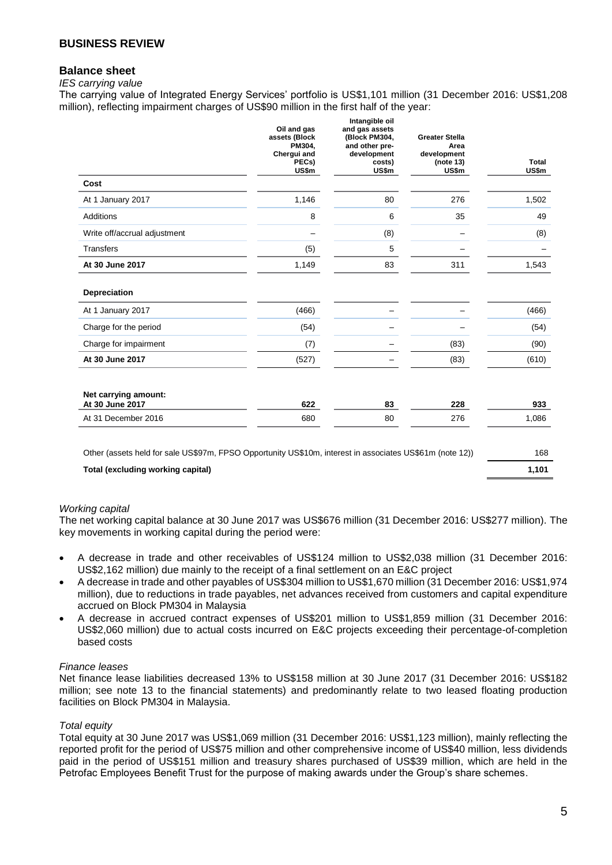#### **Balance sheet**

#### *IES carrying value*

The carrying value of Integrated Energy Services' portfolio is US\$1,101 million (31 December 2016: US\$1,208 million), reflecting impairment charges of US\$90 million in the first half of the year:

|                                                                                                          | Oil and gas<br>assets (Block<br>PM304,<br>Chergui and<br>PECs)<br>US\$m | Intangible oil<br>and gas assets<br>(Block PM304,<br>and other pre-<br>development<br>costs)<br>US\$m | <b>Greater Stella</b><br>Area<br>development<br>(note 13)<br>US\$m | <b>Total</b><br>US\$m |
|----------------------------------------------------------------------------------------------------------|-------------------------------------------------------------------------|-------------------------------------------------------------------------------------------------------|--------------------------------------------------------------------|-----------------------|
| Cost                                                                                                     |                                                                         |                                                                                                       |                                                                    |                       |
| At 1 January 2017                                                                                        | 1,146                                                                   | 80                                                                                                    | 276                                                                | 1,502                 |
| Additions                                                                                                | 8                                                                       | 6                                                                                                     | 35                                                                 | 49                    |
| Write off/accrual adjustment                                                                             |                                                                         | (8)                                                                                                   |                                                                    | (8)                   |
| <b>Transfers</b>                                                                                         | (5)                                                                     | 5                                                                                                     |                                                                    |                       |
| At 30 June 2017                                                                                          | 1,149                                                                   | 83                                                                                                    | 311                                                                | 1,543                 |
| Depreciation                                                                                             |                                                                         |                                                                                                       |                                                                    |                       |
| At 1 January 2017                                                                                        | (466)                                                                   |                                                                                                       |                                                                    | (466)                 |
| Charge for the period                                                                                    | (54)                                                                    |                                                                                                       |                                                                    | (54)                  |
| Charge for impairment                                                                                    | (7)                                                                     |                                                                                                       | (83)                                                               | (90)                  |
| At 30 June 2017                                                                                          | (527)                                                                   |                                                                                                       | (83)                                                               | (610)                 |
| Net carrying amount:<br>At 30 June 2017                                                                  | 622                                                                     | 83                                                                                                    | 228                                                                | 933                   |
| At 31 December 2016                                                                                      | 680                                                                     | 80                                                                                                    | 276                                                                | 1,086                 |
| Other (assets held for sale US\$97m, FPSO Opportunity US\$10m, interest in associates US\$61m (note 12)) |                                                                         |                                                                                                       |                                                                    | 168                   |

**Total (excluding working capital) 1,101**

#### *Working capital*

The net working capital balance at 30 June 2017 was US\$676 million (31 December 2016: US\$277 million). The key movements in working capital during the period were:

- A decrease in trade and other receivables of US\$124 million to US\$2,038 million (31 December 2016: US\$2,162 million) due mainly to the receipt of a final settlement on an E&C project
- A decrease in trade and other payables of US\$304 million to US\$1,670 million (31 December 2016: US\$1,974 million), due to reductions in trade payables, net advances received from customers and capital expenditure accrued on Block PM304 in Malaysia
- A decrease in accrued contract expenses of US\$201 million to US\$1,859 million (31 December 2016: US\$2,060 million) due to actual costs incurred on E&C projects exceeding their percentage-of-completion based costs

#### *Finance leases*

Net finance lease liabilities decreased 13% to US\$158 million at 30 June 2017 (31 December 2016: US\$182 million; see note 13 to the financial statements) and predominantly relate to two leased floating production facilities on Block PM304 in Malaysia.

#### *Total equity*

Total equity at 30 June 2017 was US\$1,069 million (31 December 2016: US\$1,123 million), mainly reflecting the reported profit for the period of US\$75 million and other comprehensive income of US\$40 million, less dividends paid in the period of US\$151 million and treasury shares purchased of US\$39 million, which are held in the Petrofac Employees Benefit Trust for the purpose of making awards under the Group's share schemes.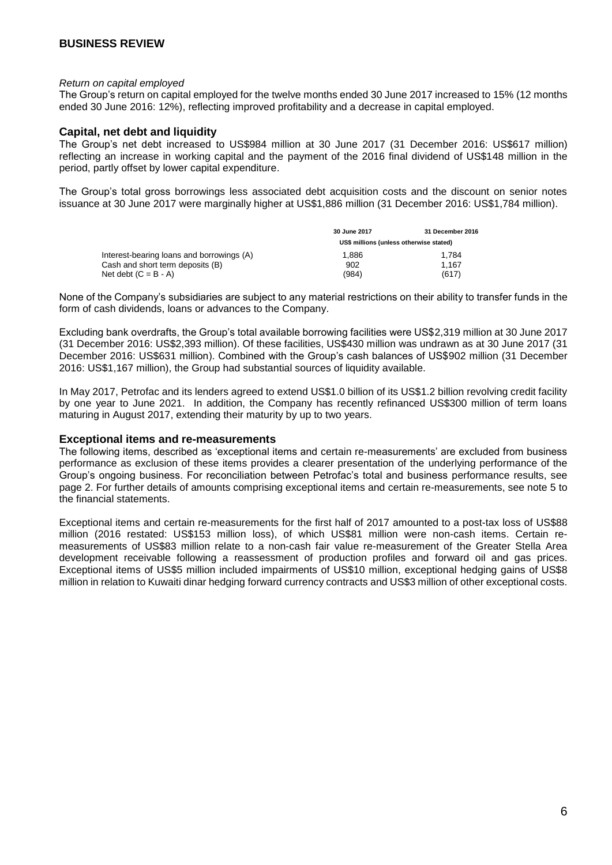#### *Return on capital employed*

The Group's return on capital employed for the twelve months ended 30 June 2017 increased to 15% (12 months ended 30 June 2016: 12%), reflecting improved profitability and a decrease in capital employed.

#### **Capital, net debt and liquidity**

The Group's net debt increased to US\$984 million at 30 June 2017 (31 December 2016: US\$617 million) reflecting an increase in working capital and the payment of the 2016 final dividend of US\$148 million in the period, partly offset by lower capital expenditure.

The Group's total gross borrowings less associated debt acquisition costs and the discount on senior notes issuance at 30 June 2017 were marginally higher at US\$1,886 million (31 December 2016: US\$1,784 million).

|                                           | 30 June 2017                            | 31 December 2016 |
|-------------------------------------------|-----------------------------------------|------------------|
|                                           | US\$ millions (unless otherwise stated) |                  |
| Interest-bearing loans and borrowings (A) | 1.886                                   | 1.784            |
| Cash and short term deposits (B)          | 902                                     | 1.167            |
| Net debt $(C = B - A)$                    | (984)                                   | (617)            |

None of the Company's subsidiaries are subject to any material restrictions on their ability to transfer funds in the form of cash dividends, loans or advances to the Company.

Excluding bank overdrafts, the Group's total available borrowing facilities were US\$2,319 million at 30 June 2017 (31 December 2016: US\$2,393 million). Of these facilities, US\$430 million was undrawn as at 30 June 2017 (31 December 2016: US\$631 million). Combined with the Group's cash balances of US\$902 million (31 December 2016: US\$1,167 million), the Group had substantial sources of liquidity available.

In May 2017, Petrofac and its lenders agreed to extend US\$1.0 billion of its US\$1.2 billion revolving credit facility by one year to June 2021. In addition, the Company has recently refinanced US\$300 million of term loans maturing in August 2017, extending their maturity by up to two years.

#### **Exceptional items and re-measurements**

The following items, described as 'exceptional items and certain re-measurements' are excluded from business performance as exclusion of these items provides a clearer presentation of the underlying performance of the Group's ongoing business. For reconciliation between Petrofac's total and business performance results, see page 2. For further details of amounts comprising exceptional items and certain re-measurements, see note 5 to the financial statements.

Exceptional items and certain re-measurements for the first half of 2017 amounted to a post-tax loss of US\$88 million (2016 restated: US\$153 million loss), of which US\$81 million were non-cash items. Certain remeasurements of US\$83 million relate to a non-cash fair value re-measurement of the Greater Stella Area development receivable following a reassessment of production profiles and forward oil and gas prices. Exceptional items of US\$5 million included impairments of US\$10 million, exceptional hedging gains of US\$8 million in relation to Kuwaiti dinar hedging forward currency contracts and US\$3 million of other exceptional costs.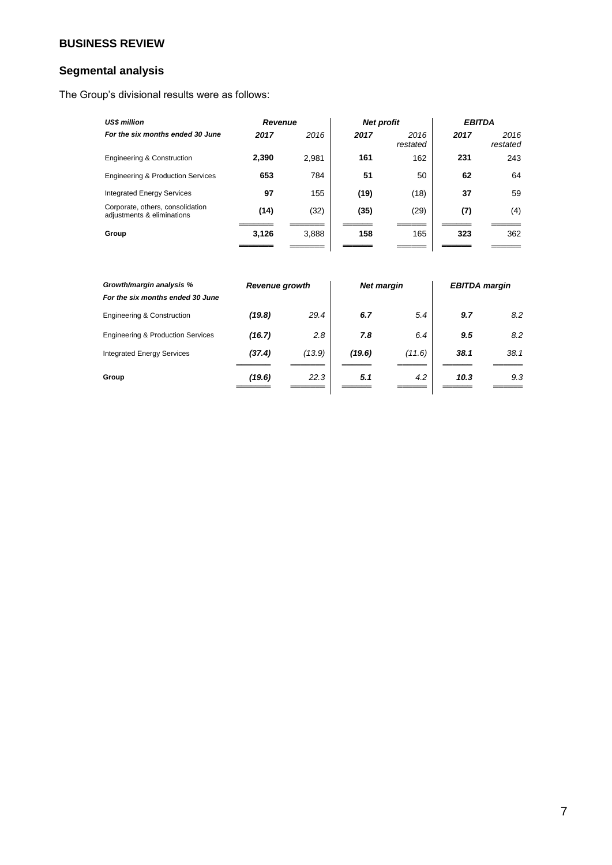### **Segmental analysis**

The Group's divisional results were as follows:

| <b>US\$ million</b>                                            | <b>Revenue</b> |       |      | <b>Net profit</b> | <b>EBITDA</b> |                  |
|----------------------------------------------------------------|----------------|-------|------|-------------------|---------------|------------------|
| For the six months ended 30 June                               | 2017           | 2016  | 2017 | 2016<br>restated  | 2017          | 2016<br>restated |
| <b>Engineering &amp; Construction</b>                          | 2,390          | 2.981 | 161  | 162               | 231           | 243              |
| <b>Engineering &amp; Production Services</b>                   | 653            | 784   | 51   | 50                | 62            | 64               |
| <b>Integrated Energy Services</b>                              | 97             | 155   | (19) | (18)              | 37            | 59               |
| Corporate, others, consolidation<br>adjustments & eliminations | (14)           | (32)  | (35) | (29)              | (7)           | (4)              |
| Group                                                          | 3,126          | 3,888 | 158  | 165               | 323           | 362              |
|                                                                |                |       |      |                   |               |                  |

| Growth/margin analysis %<br>For the six months ended 30 June | <b>Revenue growth</b> |        |        | <b>Net margin</b> |      | <b>EBITDA</b> margin |
|--------------------------------------------------------------|-----------------------|--------|--------|-------------------|------|----------------------|
| <b>Engineering &amp; Construction</b>                        | (19.8)                | 29.4   | 6.7    | 5.4               | 9.7  | 8.2                  |
| <b>Engineering &amp; Production Services</b>                 | (16.7)                | 2.8    | 7.8    | 6.4               | 9.5  | 8.2                  |
| <b>Integrated Energy Services</b>                            | (37.4)                | (13.9) | (19.6) | (11.6)            | 38.1 | 38.1                 |
| Group                                                        | (19.6)                | 22.3   | 5.1    | 4.2               | 10.3 | 9.3                  |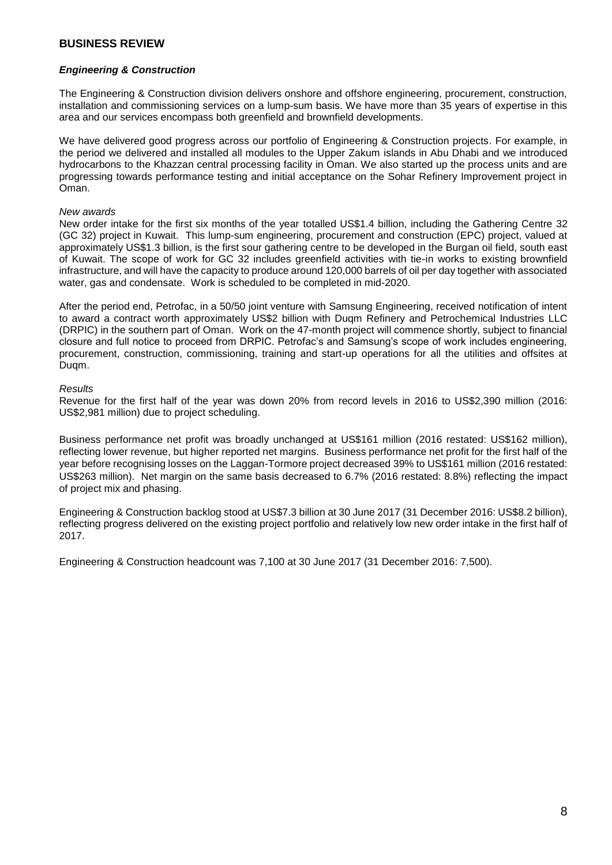#### *Engineering & Construction*

The Engineering & Construction division delivers onshore and offshore engineering, procurement, construction, installation and commissioning services on a lump-sum basis. We have more than 35 years of expertise in this area and our services encompass both greenfield and brownfield developments.

We have delivered good progress across our portfolio of Engineering & Construction projects. For example, in the period we delivered and installed all modules to the Upper Zakum islands in Abu Dhabi and we introduced hydrocarbons to the Khazzan central processing facility in Oman. We also started up the process units and are progressing towards performance testing and initial acceptance on the Sohar Refinery Improvement project in Oman.

#### *New awards*

New order intake for the first six months of the year totalled US\$1.4 billion, including the Gathering Centre 32 (GC 32) project in Kuwait. This lump-sum engineering, procurement and construction (EPC) project, valued at approximately US\$1.3 billion, is the first sour gathering centre to be developed in the Burgan oil field, south east of Kuwait. The scope of work for GC 32 includes greenfield activities with tie-in works to existing brownfield infrastructure, and will have the capacity to produce around 120,000 barrels of oil per day together with associated water, gas and condensate. Work is scheduled to be completed in mid-2020.

After the period end, Petrofac, in a 50/50 joint venture with Samsung Engineering, received notification of intent to award a contract worth approximately US\$2 billion with Duqm Refinery and Petrochemical Industries LLC (DRPIC) in the southern part of Oman. Work on the 47-month project will commence shortly, subject to financial closure and full notice to proceed from DRPIC. Petrofac's and Samsung's scope of work includes engineering, procurement, construction, commissioning, training and start-up operations for all the utilities and offsites at Duqm.

#### *Results*

Revenue for the first half of the year was down 20% from record levels in 2016 to US\$2,390 million (2016: US\$2,981 million) due to project scheduling.

Business performance net profit was broadly unchanged at US\$161 million (2016 restated: US\$162 million), reflecting lower revenue, but higher reported net margins. Business performance net profit for the first half of the year before recognising losses on the Laggan-Tormore project decreased 39% to US\$161 million (2016 restated: US\$263 million). Net margin on the same basis decreased to 6.7% (2016 restated: 8.8%) reflecting the impact of project mix and phasing.

Engineering & Construction backlog stood at US\$7.3 billion at 30 June 2017 (31 December 2016: US\$8.2 billion), reflecting progress delivered on the existing project portfolio and relatively low new order intake in the first half of 2017.

Engineering & Construction headcount was 7,100 at 30 June 2017 (31 December 2016: 7,500).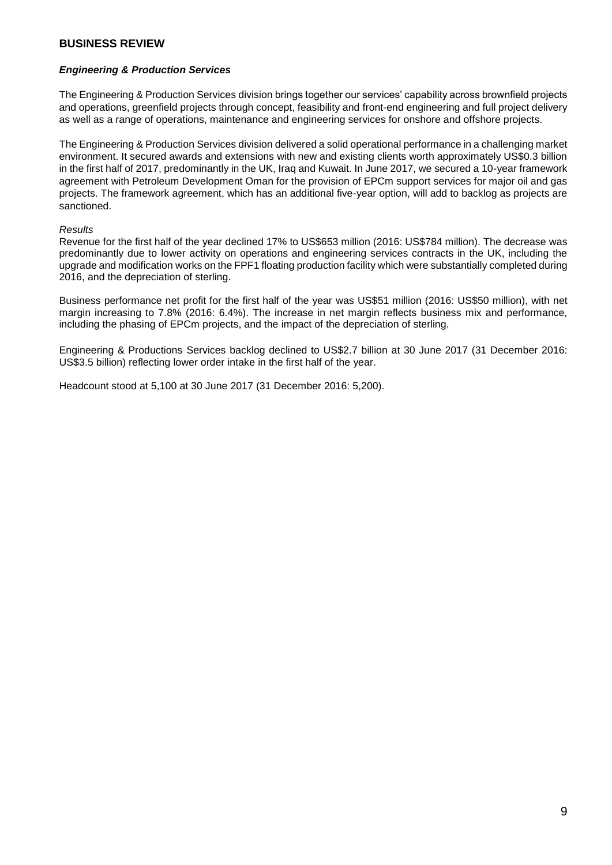#### *Engineering & Production Services*

The Engineering & Production Services division brings together our services' capability across brownfield projects and operations, greenfield projects through concept, feasibility and front-end engineering and full project delivery as well as a range of operations, maintenance and engineering services for onshore and offshore projects.

The Engineering & Production Services division delivered a solid operational performance in a challenging market environment. It secured awards and extensions with new and existing clients worth approximately US\$0.3 billion in the first half of 2017, predominantly in the UK, Iraq and Kuwait. In June 2017, we secured a 10-year framework agreement with Petroleum Development Oman for the provision of EPCm support services for major oil and gas projects. The framework agreement, which has an additional five-year option, will add to backlog as projects are sanctioned.

#### *Results*

Revenue for the first half of the year declined 17% to US\$653 million (2016: US\$784 million). The decrease was predominantly due to lower activity on operations and engineering services contracts in the UK, including the upgrade and modification works on the FPF1 floating production facility which were substantially completed during 2016, and the depreciation of sterling.

Business performance net profit for the first half of the year was US\$51 million (2016: US\$50 million), with net margin increasing to 7.8% (2016: 6.4%). The increase in net margin reflects business mix and performance, including the phasing of EPCm projects, and the impact of the depreciation of sterling.

Engineering & Productions Services backlog declined to US\$2.7 billion at 30 June 2017 (31 December 2016: US\$3.5 billion) reflecting lower order intake in the first half of the year.

Headcount stood at 5,100 at 30 June 2017 (31 December 2016: 5,200).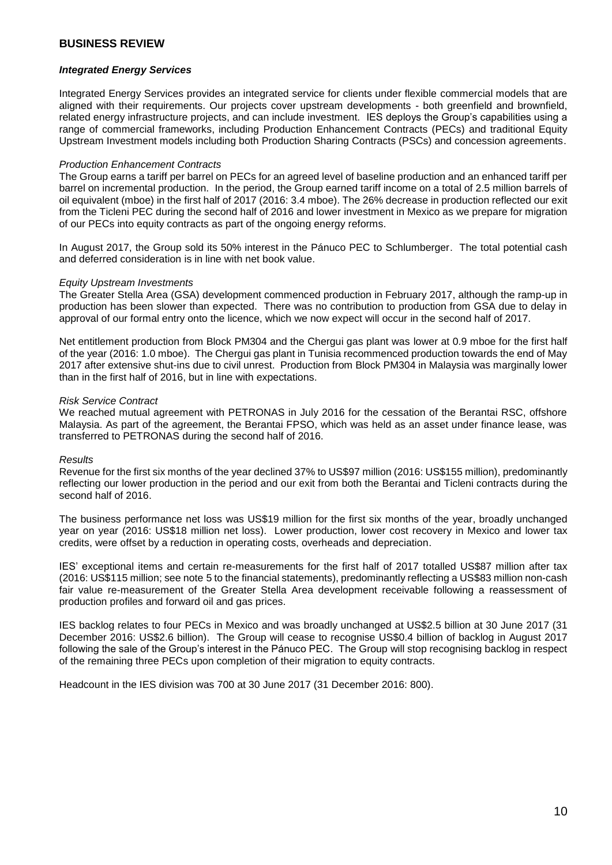#### *Integrated Energy Services*

Integrated Energy Services provides an integrated service for clients under flexible commercial models that are aligned with their requirements. Our projects cover upstream developments - both greenfield and brownfield, related energy infrastructure projects, and can include investment. IES deploys the Group's capabilities using a range of commercial frameworks, including Production Enhancement Contracts (PECs) and traditional Equity Upstream Investment models including both Production Sharing Contracts (PSCs) and concession agreements.

#### *Production Enhancement Contracts*

The Group earns a tariff per barrel on PECs for an agreed level of baseline production and an enhanced tariff per barrel on incremental production. In the period, the Group earned tariff income on a total of 2.5 million barrels of oil equivalent (mboe) in the first half of 2017 (2016: 3.4 mboe). The 26% decrease in production reflected our exit from the Ticleni PEC during the second half of 2016 and lower investment in Mexico as we prepare for migration of our PECs into equity contracts as part of the ongoing energy reforms.

In August 2017, the Group sold its 50% interest in the Pánuco PEC to Schlumberger. The total potential cash and deferred consideration is in line with net book value.

#### *Equity Upstream Investments*

The Greater Stella Area (GSA) development commenced production in February 2017, although the ramp-up in production has been slower than expected. There was no contribution to production from GSA due to delay in approval of our formal entry onto the licence, which we now expect will occur in the second half of 2017.

Net entitlement production from Block PM304 and the Chergui gas plant was lower at 0.9 mboe for the first half of the year (2016: 1.0 mboe). The Chergui gas plant in Tunisia recommenced production towards the end of May 2017 after extensive shut-ins due to civil unrest. Production from Block PM304 in Malaysia was marginally lower than in the first half of 2016, but in line with expectations.

#### *Risk Service Contract*

We reached mutual agreement with PETRONAS in July 2016 for the cessation of the Berantai RSC, offshore Malaysia. As part of the agreement, the Berantai FPSO, which was held as an asset under finance lease, was transferred to PETRONAS during the second half of 2016.

#### *Results*

Revenue for the first six months of the year declined 37% to US\$97 million (2016: US\$155 million), predominantly reflecting our lower production in the period and our exit from both the Berantai and Ticleni contracts during the second half of 2016.

The business performance net loss was US\$19 million for the first six months of the year, broadly unchanged year on year (2016: US\$18 million net loss). Lower production, lower cost recovery in Mexico and lower tax credits, were offset by a reduction in operating costs, overheads and depreciation.

IES' exceptional items and certain re-measurements for the first half of 2017 totalled US\$87 million after tax (2016: US\$115 million; see note 5 to the financial statements), predominantly reflecting a US\$83 million non-cash fair value re-measurement of the Greater Stella Area development receivable following a reassessment of production profiles and forward oil and gas prices.

IES backlog relates to four PECs in Mexico and was broadly unchanged at US\$2.5 billion at 30 June 2017 (31 December 2016: US\$2.6 billion). The Group will cease to recognise US\$0.4 billion of backlog in August 2017 following the sale of the Group's interest in the Pánuco PEC. The Group will stop recognising backlog in respect of the remaining three PECs upon completion of their migration to equity contracts.

Headcount in the IES division was 700 at 30 June 2017 (31 December 2016: 800).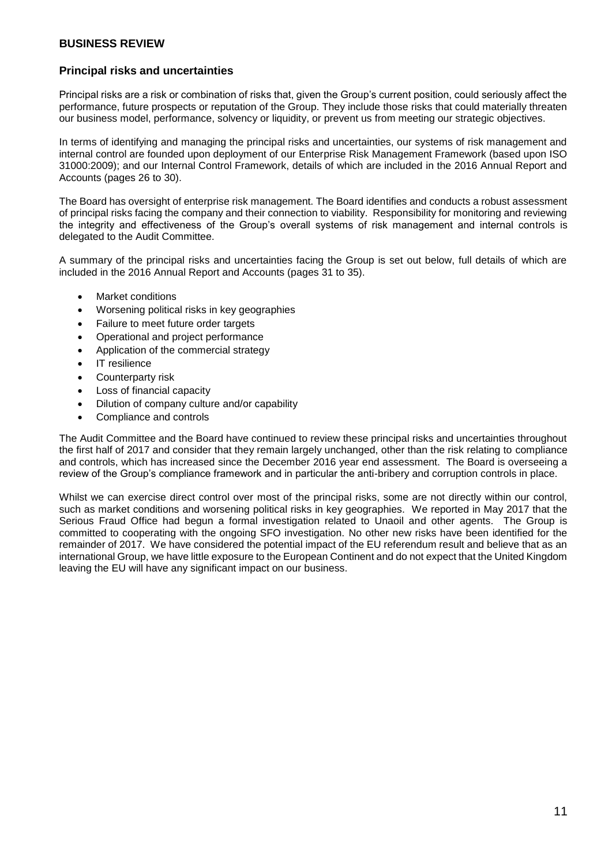#### **Principal risks and uncertainties**

Principal risks are a risk or combination of risks that, given the Group's current position, could seriously affect the performance, future prospects or reputation of the Group. They include those risks that could materially threaten our business model, performance, solvency or liquidity, or prevent us from meeting our strategic objectives.

In terms of identifying and managing the principal risks and uncertainties, our systems of risk management and internal control are founded upon deployment of our Enterprise Risk Management Framework (based upon ISO 31000:2009); and our Internal Control Framework, details of which are included in the 2016 Annual Report and Accounts (pages 26 to 30).

The Board has oversight of enterprise risk management. The Board identifies and conducts a robust assessment of principal risks facing the company and their connection to viability. Responsibility for monitoring and reviewing the integrity and effectiveness of the Group's overall systems of risk management and internal controls is delegated to the Audit Committee.

A summary of the principal risks and uncertainties facing the Group is set out below, full details of which are included in the 2016 Annual Report and Accounts (pages 31 to 35).

- Market conditions
- Worsening political risks in key geographies
- Failure to meet future order targets
- Operational and project performance
- Application of the commercial strategy
- IT resilience
- Counterparty risk
- Loss of financial capacity
- Dilution of company culture and/or capability
- Compliance and controls

The Audit Committee and the Board have continued to review these principal risks and uncertainties throughout the first half of 2017 and consider that they remain largely unchanged, other than the risk relating to compliance and controls, which has increased since the December 2016 year end assessment. The Board is overseeing a review of the Group's compliance framework and in particular the anti-bribery and corruption controls in place.

Whilst we can exercise direct control over most of the principal risks, some are not directly within our control, such as market conditions and worsening political risks in key geographies. We reported in May 2017 that the Serious Fraud Office had begun a formal investigation related to Unaoil and other agents. The Group is committed to cooperating with the ongoing SFO investigation. No other new risks have been identified for the remainder of 2017. We have considered the potential impact of the EU referendum result and believe that as an international Group, we have little exposure to the European Continent and do not expect that the United Kingdom leaving the EU will have any significant impact on our business.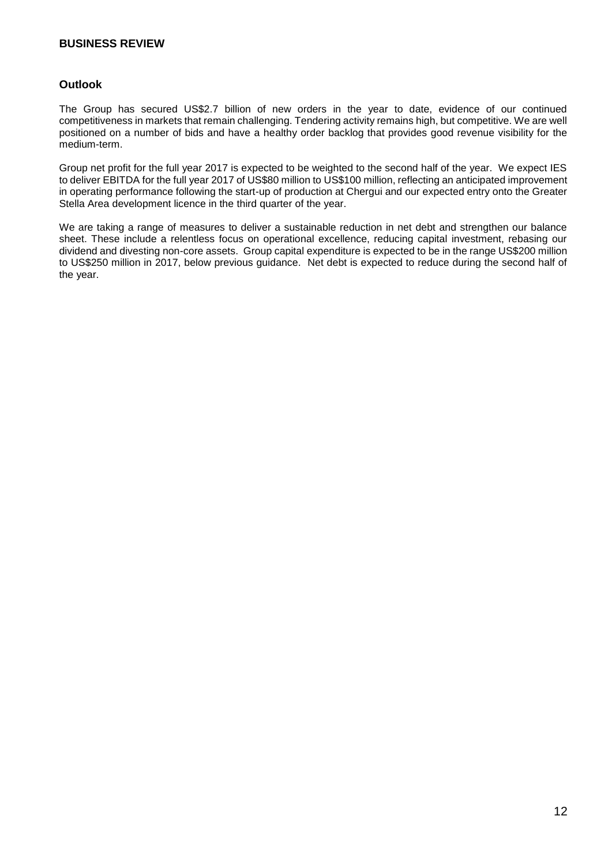#### **Outlook**

The Group has secured US\$2.7 billion of new orders in the year to date, evidence of our continued competitiveness in markets that remain challenging. Tendering activity remains high, but competitive. We are well positioned on a number of bids and have a healthy order backlog that provides good revenue visibility for the medium-term.

Group net profit for the full year 2017 is expected to be weighted to the second half of the year. We expect IES to deliver EBITDA for the full year 2017 of US\$80 million to US\$100 million, reflecting an anticipated improvement in operating performance following the start-up of production at Chergui and our expected entry onto the Greater Stella Area development licence in the third quarter of the year.

We are taking a range of measures to deliver a sustainable reduction in net debt and strengthen our balance sheet. These include a relentless focus on operational excellence, reducing capital investment, rebasing our dividend and divesting non-core assets. Group capital expenditure is expected to be in the range US\$200 million to US\$250 million in 2017, below previous guidance. Net debt is expected to reduce during the second half of the year.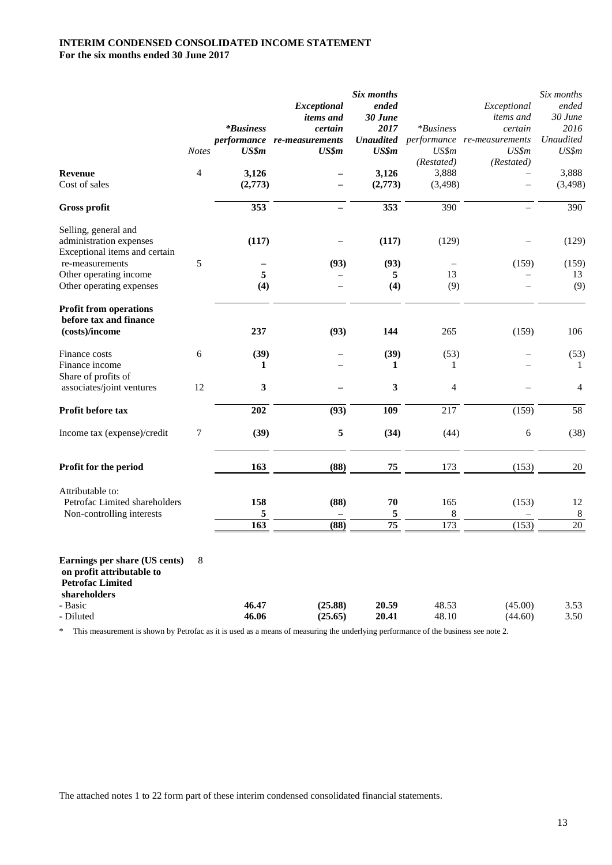#### **INTERIM CONDENSED CONSOLIDATED INCOME STATEMENT For the six months ended 30 June 2017**

|                                                                                                       |                |                  |                                      | Six months           |                             |                                                  | Six months                 |
|-------------------------------------------------------------------------------------------------------|----------------|------------------|--------------------------------------|----------------------|-----------------------------|--------------------------------------------------|----------------------------|
|                                                                                                       |                |                  | Exceptional                          | ended                |                             | Exceptional                                      | ended                      |
|                                                                                                       |                |                  | <i>items and</i>                     | 30 June              |                             | <i>items</i> and                                 | 30 June                    |
|                                                                                                       |                | <i>*Business</i> | certain                              | 2017                 | <i>*Business</i>            | certain<br>Unaudited performance re-measurements | 2016<br><b>Unaudited</b>   |
|                                                                                                       | <b>Notes</b>   | US\$m            | performance re-measurements<br>US\$m | US\$m                | US\$m                       | US\$m                                            | US\$m                      |
|                                                                                                       |                |                  |                                      |                      | (Restated)                  | (Restated)                                       |                            |
| <b>Revenue</b>                                                                                        | $\overline{4}$ | 3,126            |                                      | 3,126                | 3,888                       |                                                  | 3,888                      |
| Cost of sales                                                                                         |                | (2,773)          |                                      | (2,773)              | (3, 498)                    |                                                  | (3, 498)                   |
|                                                                                                       |                |                  |                                      |                      |                             |                                                  |                            |
| Gross profit                                                                                          |                | 353              | -                                    | 353                  | 390                         |                                                  | 390                        |
| Selling, general and                                                                                  |                |                  |                                      |                      |                             |                                                  |                            |
| administration expenses<br>Exceptional items and certain                                              |                | (117)            |                                      | (117)                | (129)                       |                                                  | (129)                      |
| re-measurements                                                                                       | 5              |                  | (93)                                 | (93)                 |                             | (159)                                            | (159)                      |
| Other operating income                                                                                |                | 5                |                                      | 5                    | 13                          |                                                  | 13                         |
| Other operating expenses                                                                              |                | (4)              |                                      | (4)                  | (9)                         |                                                  | (9)                        |
|                                                                                                       |                |                  |                                      |                      |                             |                                                  |                            |
| <b>Profit from operations</b>                                                                         |                |                  |                                      |                      |                             |                                                  |                            |
| before tax and finance                                                                                |                |                  |                                      |                      |                             |                                                  |                            |
| (costs)/income                                                                                        |                | 237              | (93)                                 | 144                  | 265                         | (159)                                            | 106                        |
| Finance costs                                                                                         | 6              | (39)             |                                      | (39)                 | (53)                        |                                                  | (53)                       |
| Finance income                                                                                        |                | 1                |                                      | 1                    | 1                           |                                                  | 1                          |
| Share of profits of                                                                                   |                |                  |                                      |                      |                             |                                                  |                            |
| associates/joint ventures                                                                             | 12             | 3                |                                      | 3                    | 4                           |                                                  | $\overline{4}$             |
| Profit before tax                                                                                     |                | 202              | (93)                                 | <b>109</b>           | 217                         | (159)                                            | 58                         |
| Income tax (expense)/credit                                                                           | 7              | (39)             | 5                                    | (34)                 | (44)                        | $\epsilon$                                       | (38)                       |
|                                                                                                       |                |                  |                                      |                      |                             |                                                  |                            |
| Profit for the period                                                                                 |                | 163              | (88)                                 | 75                   | 173                         | (153)                                            | 20                         |
|                                                                                                       |                |                  |                                      |                      |                             |                                                  |                            |
| Attributable to:                                                                                      |                |                  |                                      |                      |                             |                                                  |                            |
| Petrofac Limited shareholders                                                                         |                | 158              | (88)                                 | 70                   | 165                         | (153)                                            | 12                         |
| Non-controlling interests                                                                             |                | 5<br>163         | (88)                                 | 5<br>$\overline{75}$ | $\,8\,$<br>$\overline{173}$ | (153)                                            | $\,8\,$<br>$\overline{20}$ |
|                                                                                                       |                |                  |                                      |                      |                             |                                                  |                            |
| Earnings per share (US cents)<br>on profit attributable to<br><b>Petrofac Limited</b><br>shareholders | 8              |                  |                                      |                      |                             |                                                  |                            |
| - Basic                                                                                               |                | 46.47            | (25.88)                              | 20.59                | 48.53                       | (45.00)                                          | 3.53                       |
| - Diluted                                                                                             |                | 46.06            | (25.65)                              | 20.41                | 48.10                       | (44.60)                                          | 3.50                       |
|                                                                                                       |                |                  |                                      |                      |                             |                                                  |                            |

\* This measurement is shown by Petrofac as it is used as a means of measuring the underlying performance of the business see note 2.

The attached notes 1 to 22 form part of these interim condensed consolidated financial statements.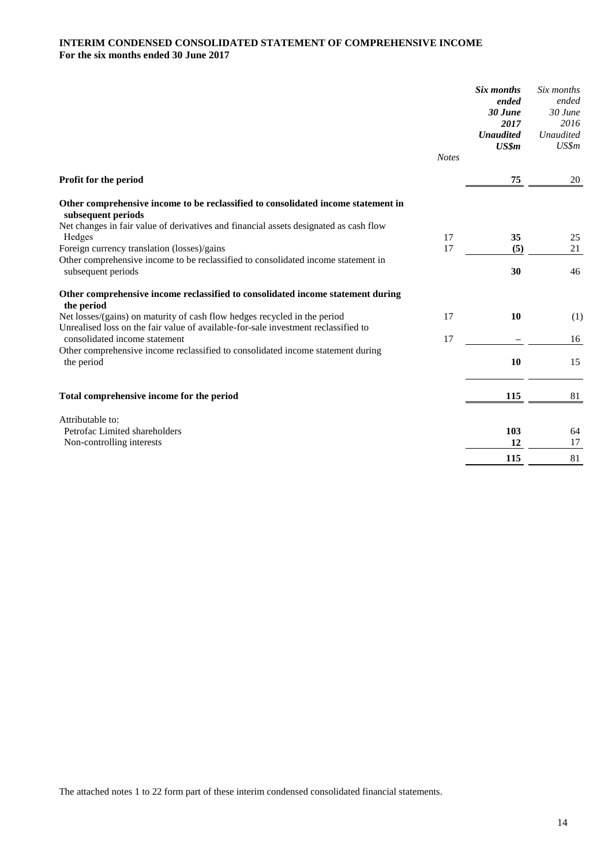#### **INTERIM CONDENSED CONSOLIDATED STATEMENT OF COMPREHENSIVE INCOME For the six months ended 30 June 2017**

|                                                                                                                                                                 |              | Six months<br>ended<br>$30$ June<br>2017<br><b>Unaudited</b><br>US\$m | Six months<br>ended<br>$30$ June<br>2016<br>Unaudited<br>US\$m |
|-----------------------------------------------------------------------------------------------------------------------------------------------------------------|--------------|-----------------------------------------------------------------------|----------------------------------------------------------------|
|                                                                                                                                                                 | <b>Notes</b> |                                                                       |                                                                |
| Profit for the period                                                                                                                                           |              | 75                                                                    | 20                                                             |
| Other comprehensive income to be reclassified to consolidated income statement in<br>subsequent periods                                                         |              |                                                                       |                                                                |
| Net changes in fair value of derivatives and financial assets designated as cash flow                                                                           |              |                                                                       |                                                                |
| Hedges                                                                                                                                                          | 17<br>17     | 35<br>(5)                                                             | 25<br>21                                                       |
| Foreign currency translation (losses)/gains<br>Other comprehensive income to be reclassified to consolidated income statement in                                |              |                                                                       |                                                                |
| subsequent periods                                                                                                                                              |              | 30                                                                    | 46                                                             |
| Other comprehensive income reclassified to consolidated income statement during<br>the period                                                                   |              |                                                                       |                                                                |
| Net losses/(gains) on maturity of cash flow hedges recycled in the period<br>Unrealised loss on the fair value of available-for-sale investment reclassified to | 17           | 10                                                                    | (1)                                                            |
| consolidated income statement                                                                                                                                   | 17           |                                                                       | 16                                                             |
| Other comprehensive income reclassified to consolidated income statement during<br>the period                                                                   |              | 10                                                                    | 15                                                             |
| Total comprehensive income for the period                                                                                                                       |              | 115                                                                   | 81                                                             |
| Attributable to:                                                                                                                                                |              |                                                                       |                                                                |
| Petrofac Limited shareholders                                                                                                                                   |              | 103                                                                   | 64                                                             |
| Non-controlling interests                                                                                                                                       |              | 12                                                                    | 17                                                             |
|                                                                                                                                                                 |              | 115                                                                   | 81                                                             |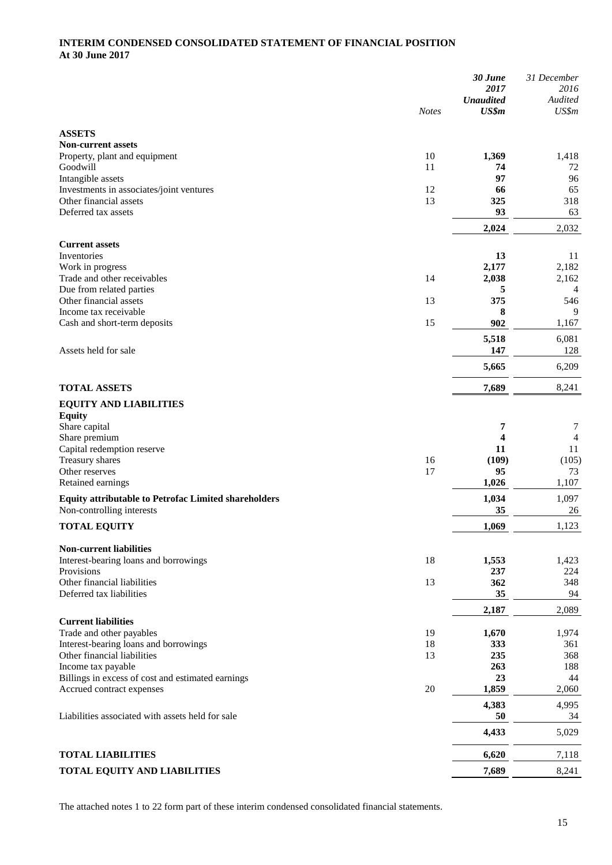#### **INTERIM CONDENSED CONSOLIDATED STATEMENT OF FINANCIAL POSITION At 30 June 2017**

|                                                               |              | 30 June                   | 31 December             |
|---------------------------------------------------------------|--------------|---------------------------|-------------------------|
|                                                               |              | 2017                      | 2016                    |
|                                                               | <b>Notes</b> | <b>Unaudited</b><br>US\$m | Audited<br>US\$m        |
|                                                               |              |                           |                         |
| <b>ASSETS</b>                                                 |              |                           |                         |
| <b>Non-current assets</b>                                     |              |                           |                         |
| Property, plant and equipment                                 | 10           | 1,369                     | 1,418                   |
| Goodwill                                                      | 11           | 74<br>97                  | 72                      |
| Intangible assets<br>Investments in associates/joint ventures | 12           | 66                        | 96<br>65                |
| Other financial assets                                        | 13           | 325                       | 318                     |
| Deferred tax assets                                           |              | 93                        | 63                      |
|                                                               |              | 2,024                     | 2,032                   |
|                                                               |              |                           |                         |
| <b>Current assets</b>                                         |              |                           |                         |
| Inventories                                                   |              | 13                        | 11                      |
| Work in progress                                              |              | 2,177                     | 2,182                   |
| Trade and other receivables<br>Due from related parties       | 14           | 2,038<br>5                | 2,162<br>$\overline{4}$ |
| Other financial assets                                        | 13           | 375                       | 546                     |
| Income tax receivable                                         |              | 8                         | 9                       |
| Cash and short-term deposits                                  | 15           | 902                       | 1,167                   |
|                                                               |              |                           |                         |
| Assets held for sale                                          |              | 5,518<br>147              | 6,081<br>128            |
|                                                               |              |                           |                         |
|                                                               |              | 5,665                     | 6,209                   |
| <b>TOTAL ASSETS</b>                                           |              | 7,689                     | 8,241                   |
|                                                               |              |                           |                         |
| <b>EQUITY AND LIABILITIES</b>                                 |              |                           |                         |
| <b>Equity</b><br>Share capital                                |              | 7                         | 7                       |
| Share premium                                                 |              | 4                         | 4                       |
| Capital redemption reserve                                    |              | 11                        | 11                      |
| Treasury shares                                               | 16           | (109)                     | (105)                   |
| Other reserves                                                | 17           | 95                        | 73                      |
| Retained earnings                                             |              | 1,026                     | 1,107                   |
| <b>Equity attributable to Petrofac Limited shareholders</b>   |              | 1,034                     | 1,097                   |
| Non-controlling interests                                     |              | 35                        | 26                      |
|                                                               |              |                           | 1,123                   |
| <b>TOTAL EQUITY</b>                                           |              | 1,069                     |                         |
| <b>Non-current liabilities</b>                                |              |                           |                         |
| Interest-bearing loans and borrowings                         | 18           | 1,553                     | 1,423                   |
| Provisions                                                    |              | 237                       | 224                     |
| Other financial liabilities                                   | 13           | 362                       | 348                     |
| Deferred tax liabilities                                      |              | 35                        | 94                      |
|                                                               |              | 2,187                     | 2,089                   |
| <b>Current liabilities</b>                                    |              |                           |                         |
| Trade and other payables                                      | 19           | 1,670                     | 1,974                   |
| Interest-bearing loans and borrowings                         | 18           | 333                       | 361                     |
| Other financial liabilities                                   | 13           | 235                       | 368                     |
| Income tax payable                                            |              | 263                       | 188                     |
| Billings in excess of cost and estimated earnings             |              | 23                        | 44                      |
| Accrued contract expenses                                     | 20           | 1,859                     | 2,060                   |
|                                                               |              | 4,383                     | 4,995                   |
| Liabilities associated with assets held for sale              |              | 50                        | 34                      |
|                                                               |              | 4,433                     | 5,029                   |
|                                                               |              |                           |                         |
| <b>TOTAL LIABILITIES</b>                                      |              | 6,620                     | 7,118                   |
| TOTAL EQUITY AND LIABILITIES                                  |              | 7,689                     | 8,241                   |
|                                                               |              |                           |                         |

The attached notes 1 to 22 form part of these interim condensed consolidated financial statements.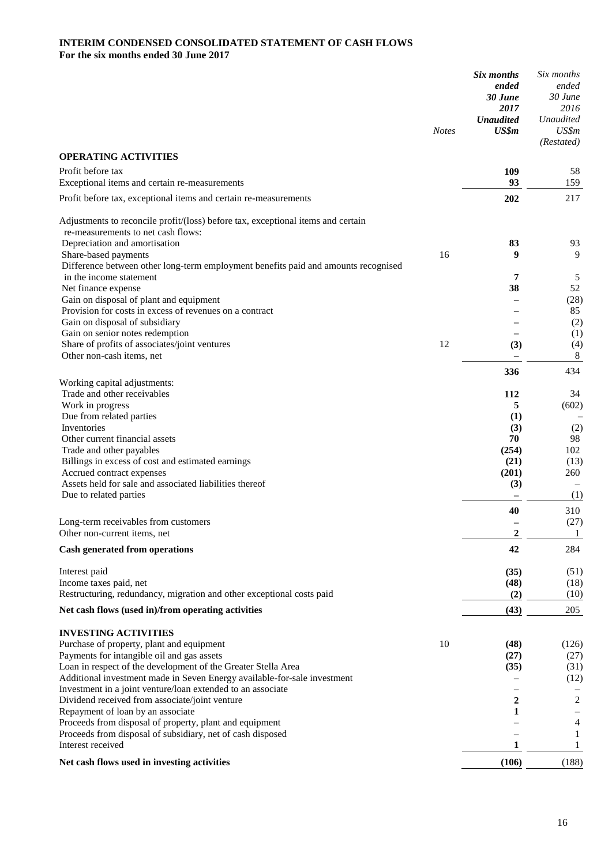#### **INTERIM CONDENSED CONSOLIDATED STATEMENT OF CASH FLOWS For the six months ended 30 June 2017**

|                                                                                                                        | <b>Notes</b> | Six months<br>ended<br>30 June<br>2017<br><b>Unaudited</b><br>US\$m | Six months<br>ended<br>30 June<br>2016<br><b>Unaudited</b><br>US\$m<br>(Restated) |
|------------------------------------------------------------------------------------------------------------------------|--------------|---------------------------------------------------------------------|-----------------------------------------------------------------------------------|
| <b>OPERATING ACTIVITIES</b>                                                                                            |              |                                                                     |                                                                                   |
| Profit before tax<br>Exceptional items and certain re-measurements                                                     |              | 109<br>93                                                           | 58<br>159                                                                         |
| Profit before tax, exceptional items and certain re-measurements                                                       |              | 202                                                                 | 217                                                                               |
| Adjustments to reconcile profit/(loss) before tax, exceptional items and certain<br>re-measurements to net cash flows: |              |                                                                     |                                                                                   |
| Depreciation and amortisation                                                                                          | 16           | 83<br>9                                                             | 93<br>9                                                                           |
| Share-based payments<br>Difference between other long-term employment benefits paid and amounts recognised             |              |                                                                     |                                                                                   |
| in the income statement                                                                                                |              | 7                                                                   | 5                                                                                 |
| Net finance expense                                                                                                    |              | 38                                                                  | 52                                                                                |
| Gain on disposal of plant and equipment                                                                                |              |                                                                     | (28)                                                                              |
| Provision for costs in excess of revenues on a contract                                                                |              |                                                                     | 85                                                                                |
| Gain on disposal of subsidiary                                                                                         |              |                                                                     | (2)                                                                               |
| Gain on senior notes redemption                                                                                        |              |                                                                     | (1)                                                                               |
| Share of profits of associates/joint ventures                                                                          | 12           | (3)                                                                 | (4)                                                                               |
| Other non-cash items, net                                                                                              |              |                                                                     | 8                                                                                 |
| Working capital adjustments:                                                                                           |              | 336                                                                 | 434                                                                               |
| Trade and other receivables                                                                                            |              | 112                                                                 | 34                                                                                |
| Work in progress                                                                                                       |              | 5                                                                   | (602)                                                                             |
| Due from related parties                                                                                               |              | (1)                                                                 |                                                                                   |
| Inventories                                                                                                            |              | (3)                                                                 | (2)                                                                               |
| Other current financial assets                                                                                         |              | 70                                                                  | 98                                                                                |
| Trade and other payables                                                                                               |              | (254)                                                               | 102                                                                               |
| Billings in excess of cost and estimated earnings                                                                      |              | (21)                                                                | (13)                                                                              |
| Accrued contract expenses                                                                                              |              | (201)                                                               | 260                                                                               |
| Assets held for sale and associated liabilities thereof                                                                |              | (3)                                                                 |                                                                                   |
| Due to related parties                                                                                                 |              |                                                                     | (1)                                                                               |
|                                                                                                                        |              | 40                                                                  | 310                                                                               |
| Long-term receivables from customers<br>Other non-current items, net                                                   |              | $\mathbf 2$                                                         | (27)<br>$\mathbf{1}$                                                              |
| Cash generated from operations                                                                                         |              | 42                                                                  | 284                                                                               |
|                                                                                                                        |              |                                                                     |                                                                                   |
| Interest paid                                                                                                          |              | (35)                                                                | (51)                                                                              |
| Income taxes paid, net                                                                                                 |              | (48)                                                                | (18)                                                                              |
| Restructuring, redundancy, migration and other exceptional costs paid                                                  |              | (2)                                                                 | (10)                                                                              |
| Net cash flows (used in)/from operating activities                                                                     |              | (43)                                                                | 205                                                                               |
| <b>INVESTING ACTIVITIES</b>                                                                                            |              |                                                                     |                                                                                   |
| Purchase of property, plant and equipment                                                                              | 10           | (48)                                                                | (126)                                                                             |
| Payments for intangible oil and gas assets                                                                             |              | (27)                                                                | (27)                                                                              |
| Loan in respect of the development of the Greater Stella Area                                                          |              | (35)                                                                | (31)                                                                              |
| Additional investment made in Seven Energy available-for-sale investment                                               |              |                                                                     | (12)                                                                              |
| Investment in a joint venture/loan extended to an associate                                                            |              |                                                                     |                                                                                   |
| Dividend received from associate/joint venture<br>Repayment of loan by an associate                                    |              | 2<br>1                                                              | 2                                                                                 |
| Proceeds from disposal of property, plant and equipment                                                                |              |                                                                     | 4                                                                                 |
| Proceeds from disposal of subsidiary, net of cash disposed                                                             |              |                                                                     | 1                                                                                 |
| Interest received                                                                                                      |              | 1                                                                   | 1                                                                                 |
| Net cash flows used in investing activities                                                                            |              | (106)                                                               | (188)                                                                             |
|                                                                                                                        |              |                                                                     |                                                                                   |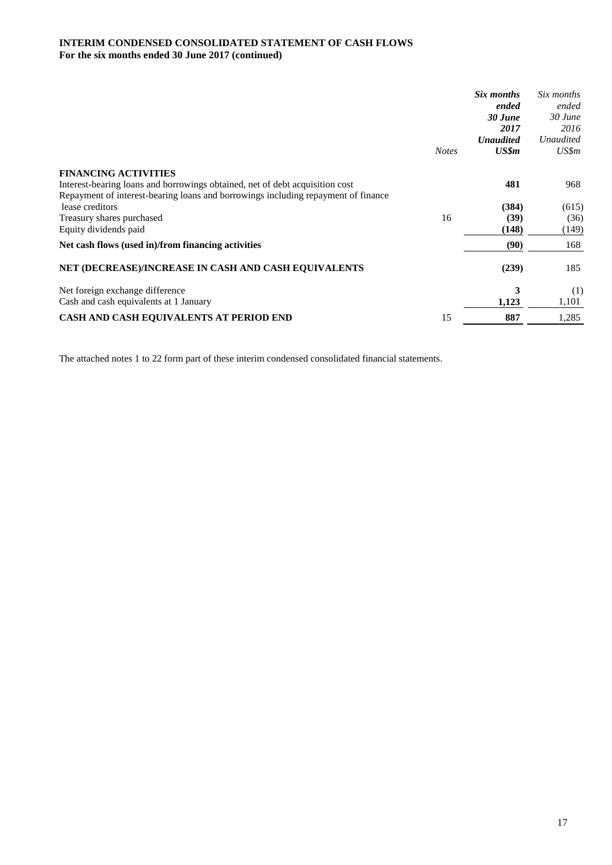#### **INTERIM CONDENSED CONSOLIDATED STATEMENT OF CASH FLOWS For the six months ended 30 June 2017 (continued)**

|                                                                                   |              | Six months       | Six months       |
|-----------------------------------------------------------------------------------|--------------|------------------|------------------|
|                                                                                   |              | ended            | ended            |
|                                                                                   |              | 30 June          | $30$ June        |
|                                                                                   |              | 2017             | 2016             |
|                                                                                   |              | <b>Unaudited</b> | <b>Unaudited</b> |
|                                                                                   | <b>Notes</b> | US\$m            | US\$m            |
| <b>FINANCING ACTIVITIES</b>                                                       |              |                  |                  |
| Interest-bearing loans and borrowings obtained, net of debt acquisition cost      |              | 481              | 968              |
| Repayment of interest-bearing loans and borrowings including repayment of finance |              |                  |                  |
| lease creditors                                                                   |              | (384)            | (615)            |
| Treasury shares purchased                                                         | 16           | (39)             | (36)             |
| Equity dividends paid                                                             |              | (148)            | (149)            |
| Net cash flows (used in)/from financing activities                                |              | (90)             | 168              |
| NET (DECREASE)/INCREASE IN CASH AND CASH EQUIVALENTS                              |              | (239)            | 185              |
| Net foreign exchange difference                                                   |              | 3                | (1)              |
| Cash and cash equivalents at 1 January                                            |              | 1,123            | 1,101            |
| CASH AND CASH EQUIVALENTS AT PERIOD END                                           | 15           | 887              | 1,285            |

The attached notes 1 to 22 form part of these interim condensed consolidated financial statements.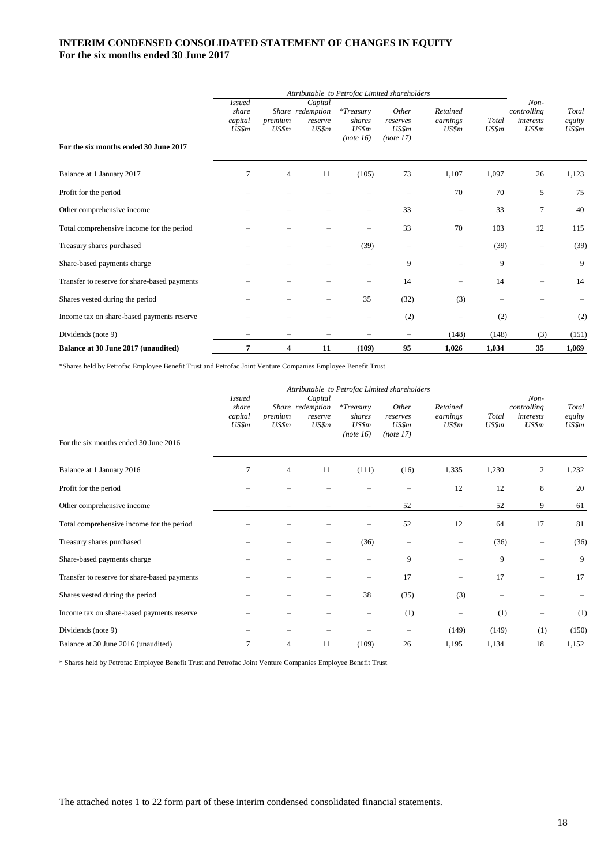#### **INTERIM CONDENSED CONSOLIDATED STATEMENT OF CHANGES IN EQUITY For the six months ended 30 June 2017**

|                                              | Attributable to Petrofac Limited shareholders |                  |                                                 |                                              |                                         |                               |                |                                           |                          |
|----------------------------------------------|-----------------------------------------------|------------------|-------------------------------------------------|----------------------------------------------|-----------------------------------------|-------------------------------|----------------|-------------------------------------------|--------------------------|
| For the six months ended 30 June 2017        | <i>Issued</i><br>share<br>capital<br>US\$m    | premium<br>US\$m | Capital<br>Share redemption<br>reserve<br>US\$m | $*T$ reasury<br>shares<br>US\$m<br>(note 16) | Other<br>reserves<br>US\$m<br>(note 17) | Retained<br>earnings<br>US\$m | Total<br>US\$m | Non-<br>controlling<br>interests<br>US\$m | Total<br>equity<br>US\$m |
| Balance at 1 January 2017                    |                                               | 4                | 11                                              | (105)                                        | 73                                      | 1,107                         | 1,097          | 26                                        | 1,123                    |
| Profit for the period                        |                                               |                  |                                                 |                                              |                                         | 70                            | 70             | 5                                         | 75                       |
| Other comprehensive income                   |                                               |                  |                                                 |                                              | 33                                      | $\overline{\phantom{0}}$      | 33             | 7                                         | 40                       |
| Total comprehensive income for the period    |                                               |                  |                                                 |                                              | 33                                      | 70                            | 103            | 12                                        | 115                      |
| Treasury shares purchased                    |                                               |                  |                                                 | (39)                                         | -                                       | -                             | (39)           | $\qquad \qquad -$                         | (39)                     |
| Share-based payments charge                  |                                               |                  |                                                 | $\qquad \qquad -$                            | 9                                       |                               | 9              | $\overline{\phantom{0}}$                  | 9                        |
| Transfer to reserve for share-based payments |                                               |                  |                                                 |                                              | 14                                      | -                             | 14             | -                                         | 14                       |
| Shares vested during the period              |                                               |                  |                                                 | 35                                           | (32)                                    | (3)                           |                |                                           |                          |
| Income tax on share-based payments reserve   |                                               |                  |                                                 |                                              | (2)                                     |                               | (2)            |                                           | (2)                      |
| Dividends (note 9)                           |                                               |                  |                                                 |                                              |                                         | (148)                         | (148)          | (3)                                       | (151)                    |
| Balance at 30 June 2017 (unaudited)          | 7                                             | 4                | 11                                              | (109)                                        | 95                                      | 1,026                         | 1,034          | 35                                        | 1,069                    |

\*Shares held by Petrofac Employee Benefit Trust and Petrofac Joint Venture Companies Employee Benefit Trust

|                                              | Attributable to Petrofac Limited shareholders |                          |                                                 |                                              |                                         |                               |                |                                           |                          |
|----------------------------------------------|-----------------------------------------------|--------------------------|-------------------------------------------------|----------------------------------------------|-----------------------------------------|-------------------------------|----------------|-------------------------------------------|--------------------------|
| For the six months ended 30 June 2016        | <b>Issued</b><br>share<br>capital<br>US\$m    | premium<br>US\$m         | Capital<br>Share redemption<br>reserve<br>US\$m | $*T$ reasury<br>shares<br>US\$m<br>(note 16) | Other<br>reserves<br>US\$m<br>(note 17) | Retained<br>earnings<br>US\$m | Total<br>US\$m | Non-<br>controlling<br>interests<br>US\$m | Total<br>equity<br>US\$m |
| Balance at 1 January 2016                    | 7                                             | $\overline{4}$           | 11                                              | (111)                                        | (16)                                    | 1,335                         | 1,230          | 2                                         | 1,232                    |
| Profit for the period                        |                                               |                          |                                                 |                                              |                                         | 12                            | 12             | 8                                         | 20                       |
| Other comprehensive income                   |                                               |                          |                                                 |                                              | 52                                      | $\qquad \qquad -$             | 52             | 9                                         | 61                       |
| Total comprehensive income for the period    |                                               |                          |                                                 |                                              | 52                                      | 12                            | 64             | 17                                        | 81                       |
| Treasury shares purchased                    |                                               |                          |                                                 | (36)                                         |                                         |                               | (36)           |                                           | (36)                     |
| Share-based payments charge                  |                                               |                          |                                                 |                                              | 9                                       |                               | 9              |                                           | 9                        |
| Transfer to reserve for share-based payments |                                               |                          |                                                 |                                              | 17                                      |                               | 17             |                                           | 17                       |
| Shares vested during the period              |                                               |                          |                                                 | 38                                           | (35)                                    | (3)                           |                |                                           |                          |
| Income tax on share-based payments reserve   |                                               |                          |                                                 |                                              | (1)                                     |                               | (1)            | -                                         | (1)                      |
| Dividends (note 9)                           |                                               | $\overline{\phantom{0}}$ |                                                 |                                              | $\overline{\phantom{0}}$                | (149)                         | (149)          | (1)                                       | (150)                    |
| Balance at 30 June 2016 (unaudited)          | 7                                             | 4                        | 11                                              | (109)                                        | 26                                      | 1.195                         | 1,134          | 18                                        | 1,152                    |

\* Shares held by Petrofac Employee Benefit Trust and Petrofac Joint Venture Companies Employee Benefit Trust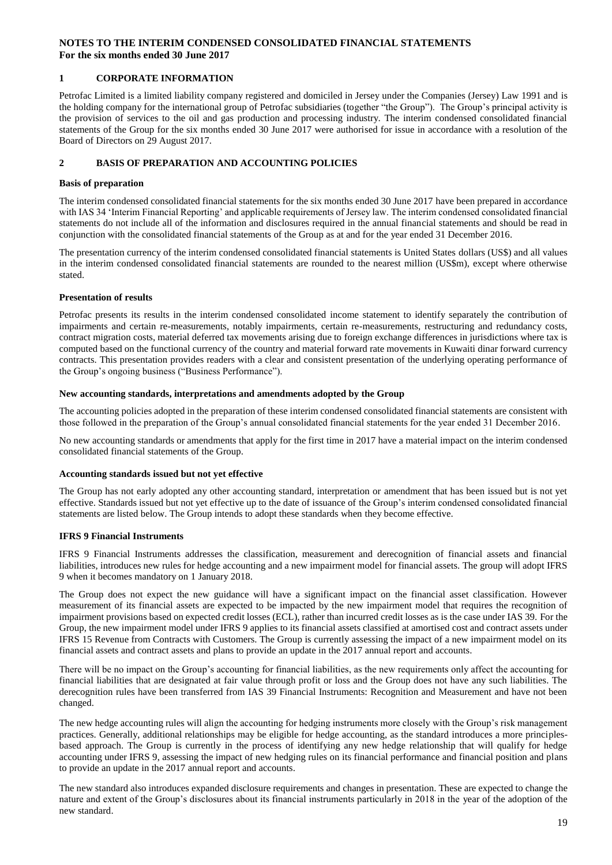#### **1 CORPORATE INFORMATION**

Petrofac Limited is a limited liability company registered and domiciled in Jersey under the Companies (Jersey) Law 1991 and is the holding company for the international group of Petrofac subsidiaries (together "the Group"). The Group's principal activity is the provision of services to the oil and gas production and processing industry. The interim condensed consolidated financial statements of the Group for the six months ended 30 June 2017 were authorised for issue in accordance with a resolution of the Board of Directors on 29 August 2017.

#### **2 BASIS OF PREPARATION AND ACCOUNTING POLICIES**

#### **Basis of preparation**

The interim condensed consolidated financial statements for the six months ended 30 June 2017 have been prepared in accordance with IAS 34 'Interim Financial Reporting' and applicable requirements of Jersey law. The interim condensed consolidated financial statements do not include all of the information and disclosures required in the annual financial statements and should be read in conjunction with the consolidated financial statements of the Group as at and for the year ended 31 December 2016.

The presentation currency of the interim condensed consolidated financial statements is United States dollars (US\$) and all values in the interim condensed consolidated financial statements are rounded to the nearest million (US\$m), except where otherwise stated.

#### **Presentation of results**

Petrofac presents its results in the interim condensed consolidated income statement to identify separately the contribution of impairments and certain re-measurements, notably impairments, certain re-measurements, restructuring and redundancy costs, contract migration costs, material deferred tax movements arising due to foreign exchange differences in jurisdictions where tax is computed based on the functional currency of the country and material forward rate movements in Kuwaiti dinar forward currency contracts. This presentation provides readers with a clear and consistent presentation of the underlying operating performance of the Group's ongoing business ("Business Performance").

#### **New accounting standards, interpretations and amendments adopted by the Group**

The accounting policies adopted in the preparation of these interim condensed consolidated financial statements are consistent with those followed in the preparation of the Group's annual consolidated financial statements for the year ended 31 December 2016.

No new accounting standards or amendments that apply for the first time in 2017 have a material impact on the interim condensed consolidated financial statements of the Group.

#### **Accounting standards issued but not yet effective**

The Group has not early adopted any other accounting standard, interpretation or amendment that has been issued but is not yet effective. Standards issued but not yet effective up to the date of issuance of the Group's interim condensed consolidated financial statements are listed below. The Group intends to adopt these standards when they become effective.

#### **IFRS 9 Financial Instruments**

IFRS 9 Financial Instruments addresses the classification, measurement and derecognition of financial assets and financial liabilities, introduces new rules for hedge accounting and a new impairment model for financial assets. The group will adopt IFRS 9 when it becomes mandatory on 1 January 2018.

The Group does not expect the new guidance will have a significant impact on the financial asset classification. However measurement of its financial assets are expected to be impacted by the new impairment model that requires the recognition of impairment provisions based on expected credit losses (ECL), rather than incurred credit losses as is the case under IAS 39. For the Group, the new impairment model under IFRS 9 applies to its financial assets classified at amortised cost and contract assets under IFRS 15 Revenue from Contracts with Customers. The Group is currently assessing the impact of a new impairment model on its financial assets and contract assets and plans to provide an update in the 2017 annual report and accounts.

There will be no impact on the Group's accounting for financial liabilities, as the new requirements only affect the accounting for financial liabilities that are designated at fair value through profit or loss and the Group does not have any such liabilities. The derecognition rules have been transferred from IAS 39 Financial Instruments: Recognition and Measurement and have not been changed.

The new hedge accounting rules will align the accounting for hedging instruments more closely with the Group's risk management practices. Generally, additional relationships may be eligible for hedge accounting, as the standard introduces a more principlesbased approach. The Group is currently in the process of identifying any new hedge relationship that will qualify for hedge accounting under IFRS 9, assessing the impact of new hedging rules on its financial performance and financial position and plans to provide an update in the 2017 annual report and accounts.

The new standard also introduces expanded disclosure requirements and changes in presentation. These are expected to change the nature and extent of the Group's disclosures about its financial instruments particularly in 2018 in the year of the adoption of the new standard.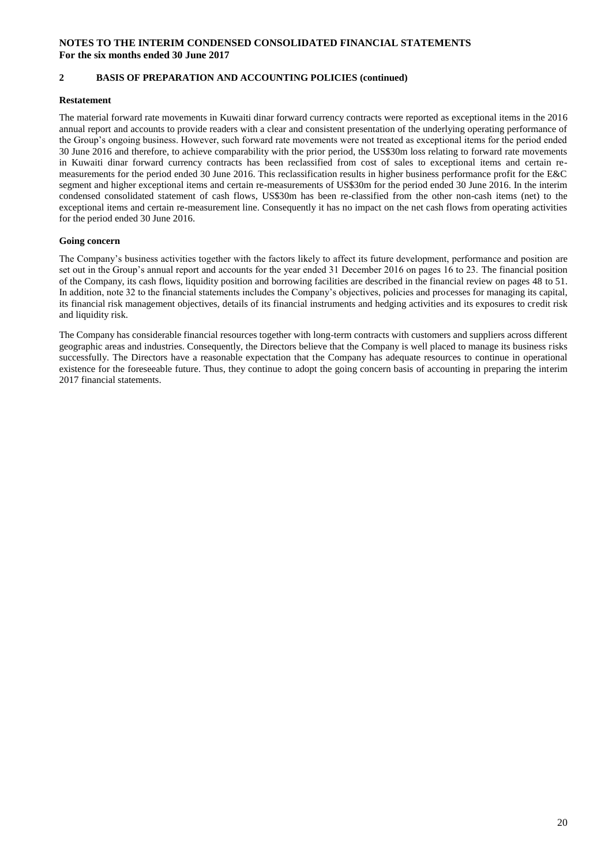#### **2 BASIS OF PREPARATION AND ACCOUNTING POLICIES (continued)**

#### **Restatement**

The material forward rate movements in Kuwaiti dinar forward currency contracts were reported as exceptional items in the 2016 annual report and accounts to provide readers with a clear and consistent presentation of the underlying operating performance of the Group's ongoing business. However, such forward rate movements were not treated as exceptional items for the period ended 30 June 2016 and therefore, to achieve comparability with the prior period, the US\$30m loss relating to forward rate movements in Kuwaiti dinar forward currency contracts has been reclassified from cost of sales to exceptional items and certain remeasurements for the period ended 30 June 2016. This reclassification results in higher business performance profit for the E&C segment and higher exceptional items and certain re-measurements of US\$30m for the period ended 30 June 2016. In the interim condensed consolidated statement of cash flows, US\$30m has been re-classified from the other non-cash items (net) to the exceptional items and certain re-measurement line. Consequently it has no impact on the net cash flows from operating activities for the period ended 30 June 2016.

#### **Going concern**

The Company's business activities together with the factors likely to affect its future development, performance and position are set out in the Group's annual report and accounts for the year ended 31 December 2016 on pages 16 to 23. The financial position of the Company, its cash flows, liquidity position and borrowing facilities are described in the financial review on pages 48 to 51. In addition, note 32 to the financial statements includes the Company's objectives, policies and processes for managing its capital, its financial risk management objectives, details of its financial instruments and hedging activities and its exposures to credit risk and liquidity risk.

The Company has considerable financial resources together with long-term contracts with customers and suppliers across different geographic areas and industries. Consequently, the Directors believe that the Company is well placed to manage its business risks successfully. The Directors have a reasonable expectation that the Company has adequate resources to continue in operational existence for the foreseeable future. Thus, they continue to adopt the going concern basis of accounting in preparing the interim 2017 financial statements.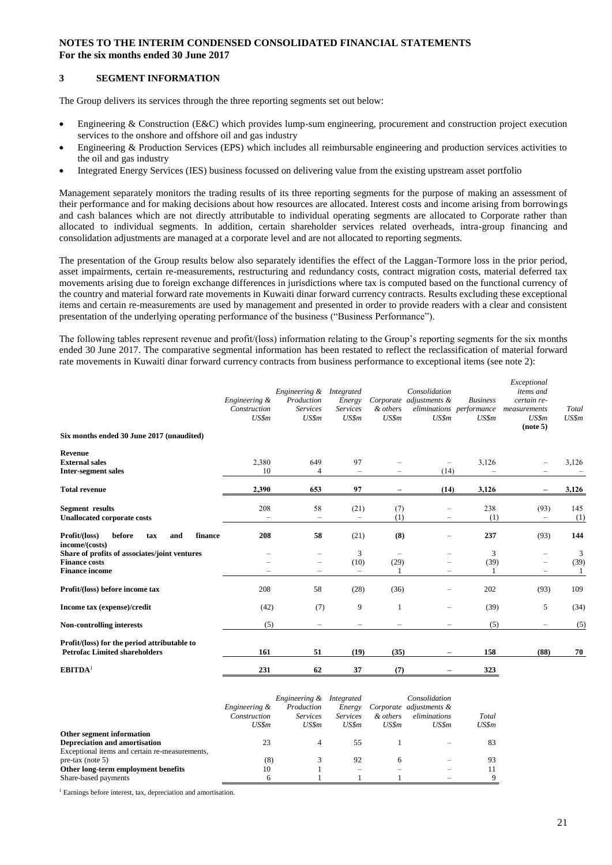#### **3 SEGMENT INFORMATION**

The Group delivers its services through the three reporting segments set out below:

- Engineering & Construction (E&C) which provides lump-sum engineering, procurement and construction project execution services to the onshore and offshore oil and gas industry
- Engineering & Production Services (EPS) which includes all reimbursable engineering and production services activities to the oil and gas industry
- Integrated Energy Services (IES) business focussed on delivering value from the existing upstream asset portfolio

Management separately monitors the trading results of its three reporting segments for the purpose of making an assessment of their performance and for making decisions about how resources are allocated. Interest costs and income arising from borrowings and cash balances which are not directly attributable to individual operating segments are allocated to Corporate rather than allocated to individual segments. In addition, certain shareholder services related overheads, intra-group financing and consolidation adjustments are managed at a corporate level and are not allocated to reporting segments.

The presentation of the Group results below also separately identifies the effect of the Laggan-Tormore loss in the prior period, asset impairments, certain re-measurements, restructuring and redundancy costs, contract migration costs, material deferred tax movements arising due to foreign exchange differences in jurisdictions where tax is computed based on the functional currency of the country and material forward rate movements in Kuwaiti dinar forward currency contracts. Results excluding these exceptional items and certain re-measurements are used by management and presented in order to provide readers with a clear and consistent presentation of the underlying operating performance of the business ("Business Performance").

The following tables represent revenue and profit/(loss) information relating to the Group's reporting segments for the six months ended 30 June 2017. The comparative segmental information has been restated to reflect the reclassification of material forward rate movements in Kuwaiti dinar forward currency contracts from business performance to exceptional items (see note 2):

|                                                                                                | Engineering &<br>Construction<br>US\$m | Engineering &<br>Production<br><b>Services</b><br>US\$m | <b>Integrated</b><br>Energy<br><b>Services</b><br>US\$m | & others<br>US\$m                | Consolidation<br>Corporate adjustments &<br>US\$m | <b>Business</b><br>eliminations performance<br>US\$m | Exceptional<br>items and<br>certain re-<br>measurements<br>US\$m<br>(note 5) | Total<br>US\$m |
|------------------------------------------------------------------------------------------------|----------------------------------------|---------------------------------------------------------|---------------------------------------------------------|----------------------------------|---------------------------------------------------|------------------------------------------------------|------------------------------------------------------------------------------|----------------|
| Six months ended 30 June 2017 (unaudited)                                                      |                                        |                                                         |                                                         |                                  |                                                   |                                                      |                                                                              |                |
| <b>Revenue</b><br><b>External sales</b><br><b>Inter-segment sales</b>                          | 2,380<br>10                            | 649<br>4                                                | 97<br>$\overline{\phantom{0}}$                          |                                  | (14)                                              | 3,126                                                |                                                                              | 3,126          |
| <b>Total revenue</b>                                                                           | 2,390                                  | 653                                                     | 97                                                      |                                  | (14)                                              | 3,126                                                |                                                                              | 3,126          |
| Segment results<br><b>Unallocated corporate costs</b>                                          | 208                                    | 58<br>$\overline{\phantom{0}}$                          | (21)<br>$\overline{\phantom{0}}$                        | (7)<br>(1)                       | -<br>-                                            | 238<br>(1)                                           | (93)<br>$\overline{\phantom{0}}$                                             | 145<br>(1)     |
| Profit/(loss)<br>before<br>finance<br>tax<br>and<br>income/(costs)                             | 208                                    | 58                                                      | (21)                                                    | (8)                              | -                                                 | 237                                                  | (93)                                                                         | 144            |
| Share of profits of associates/joint ventures<br><b>Finance costs</b><br><b>Finance income</b> |                                        | -<br>-<br>-                                             | 3<br>(10)<br>$\overline{\phantom{0}}$                   | $\overline{\phantom{0}}$<br>(29) | -                                                 | 3<br>(39)                                            |                                                                              | 3<br>(39)      |
| Profit/(loss) before income tax                                                                | 208                                    | 58                                                      | (28)                                                    | (36)                             | -                                                 | 202                                                  | (93)                                                                         | 109            |
| Income tax (expense)/credit                                                                    | (42)                                   | (7)                                                     | 9                                                       | 1                                | -                                                 | (39)                                                 | 5                                                                            | (34)           |
| <b>Non-controlling interests</b>                                                               | (5)                                    |                                                         | $\overline{\phantom{0}}$                                |                                  |                                                   | (5)                                                  |                                                                              | (5)            |
| Profit/(loss) for the period attributable to<br><b>Petrofac Limited shareholders</b>           | 161                                    | 51                                                      | (19)                                                    | (35)                             | -                                                 | 158                                                  | (88)                                                                         | 70             |
| EBITDA <sup>1</sup>                                                                            | 231                                    | 62                                                      | 37                                                      | (7)                              |                                                   | 323                                                  |                                                                              |                |

|                                                | Engineering &<br>Construction<br>US\$m | Engineering &<br>Production<br><i>Services</i><br>US\$m | Integrated<br>Energy<br><b>Services</b><br>US\$m | & others<br>US\$m | Consolidation<br>Corporate adjustments &<br>eliminations<br>US\$m | Total<br>US\$m |
|------------------------------------------------|----------------------------------------|---------------------------------------------------------|--------------------------------------------------|-------------------|-------------------------------------------------------------------|----------------|
| Other segment information                      |                                        |                                                         |                                                  |                   |                                                                   |                |
| Depreciation and amortisation                  | 23                                     | 4                                                       | 55                                               |                   |                                                                   | 83             |
| Exceptional items and certain re-measurements, |                                        |                                                         |                                                  |                   |                                                                   |                |
| $pre$ -tax (note 5)                            | (8)                                    |                                                         | 92                                               | 6                 |                                                                   | 93             |
| Other long-term employment benefits            | 10                                     |                                                         |                                                  |                   |                                                                   | 11             |
| Share-based payments                           |                                        |                                                         |                                                  |                   |                                                                   |                |

<sup>1</sup> Earnings before interest, tax, depreciation and amortisation.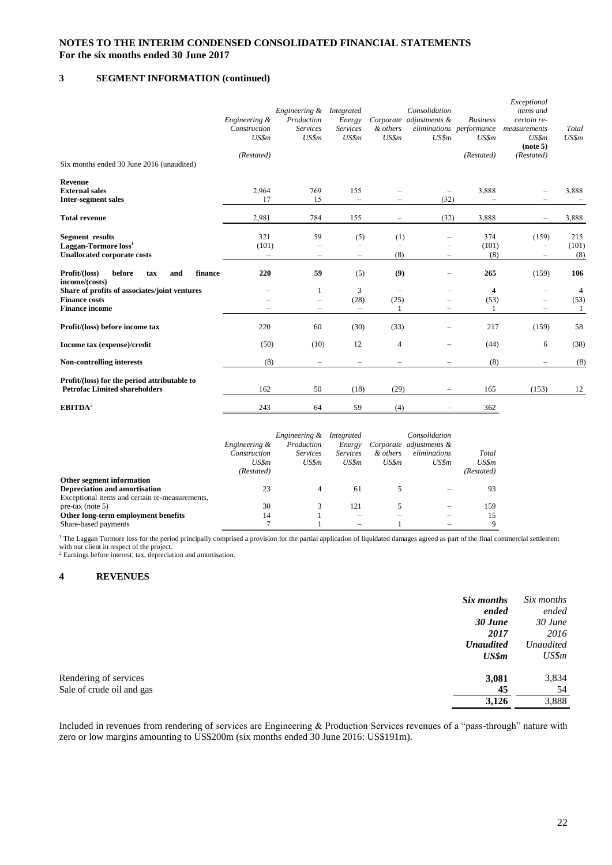#### **3 SEGMENT INFORMATION (continued)**

| Six months ended 30 June 2016 (unaudited)                                                        | Engineering &<br>Construction<br>US\$m<br>(Restated) | Engineering &<br>Production<br><b>Services</b><br>US\$m | Integrated<br>Energy<br><b>Services</b><br>US\$m | & others<br>US\$m            | Consolidation<br>Corporate adjustments &<br>US\$m | <b>Business</b><br>eliminations performance<br>US\$m<br>(Restated) | Exceptional<br>items and<br>certain re-<br>measurements<br>US\$m<br>(note 5)<br>(Restated) | Total<br>US\$m              |
|--------------------------------------------------------------------------------------------------|------------------------------------------------------|---------------------------------------------------------|--------------------------------------------------|------------------------------|---------------------------------------------------|--------------------------------------------------------------------|--------------------------------------------------------------------------------------------|-----------------------------|
| Revenue<br><b>External sales</b><br><b>Inter-segment sales</b>                                   | 2,964<br>17                                          | 769<br>15                                               | 155<br>$\overline{\phantom{0}}$                  |                              | (32)                                              | 3,888                                                              |                                                                                            | 3,888                       |
| <b>Total revenue</b>                                                                             | 2,981                                                | 784                                                     | 155                                              |                              | (32)                                              | 3,888                                                              |                                                                                            | 3,888                       |
| <b>Segment</b> results<br>Laggan-Tormore loss <sup>1</sup><br><b>Unallocated corporate costs</b> | 321<br>(101)<br>$\overline{\phantom{m}}$             | 59<br>$\overline{\phantom{0}}$                          | (5)<br>-                                         | (1)<br>$\overline{a}$<br>(8) | $\overline{\phantom{0}}$<br>-                     | 374<br>(101)<br>(8)                                                | (159)<br>$\overline{\phantom{0}}$<br>$\overline{\phantom{0}}$                              | 215<br>(101)<br>(8)         |
| Profit/(loss)<br>before<br>finance<br>and<br>tax<br>income/(costs)                               | 220                                                  | 59                                                      | (5)                                              | (9)                          | -                                                 | 265                                                                | (159)                                                                                      | 106                         |
| Share of profits of associates/joint ventures<br><b>Finance costs</b><br><b>Finance income</b>   |                                                      | 1<br>$\overline{\phantom{m}}$                           | 3<br>(28)<br>$\overline{\phantom{m}}$            | (25)<br>1                    | -<br>-                                            | $\overline{4}$<br>(53)<br>1                                        |                                                                                            | $\overline{4}$<br>(53)<br>1 |
| Profit/(loss) before income tax                                                                  | 220                                                  | 60                                                      | (30)                                             | (33)                         | -                                                 | 217                                                                | (159)                                                                                      | 58                          |
| Income tax (expense)/credit                                                                      | (50)                                                 | (10)                                                    | 12                                               | 4                            | -                                                 | (44)                                                               | 6                                                                                          | (38)                        |
| <b>Non-controlling interests</b>                                                                 | (8)                                                  | $\overline{\phantom{a}}$                                | $\overline{\phantom{0}}$                         |                              | -                                                 | (8)                                                                |                                                                                            | (8)                         |
| Profit/(loss) for the period attributable to<br><b>Petrofac Limited shareholders</b>             | 162                                                  | 50                                                      | (18)                                             | (29)                         | -                                                 | 165                                                                | (153)                                                                                      | 12                          |
| EBITDA <sup>2</sup>                                                                              | 243                                                  | 64                                                      | 59                                               | (4)                          |                                                   | 362                                                                |                                                                                            |                             |

|                                                | Engineering &<br>Construction<br>US\$m<br>(Restated) | <i>Engineering &amp;</i><br>Production<br><b>Services</b><br>US\$m | Integrated<br>Energy<br><b>Services</b><br>US\$m | & others<br>US\$m | Consolidation<br>Corporate adjustments &<br>eliminations<br>US\$m | Total<br>US\$m<br>(Restated) |
|------------------------------------------------|------------------------------------------------------|--------------------------------------------------------------------|--------------------------------------------------|-------------------|-------------------------------------------------------------------|------------------------------|
| Other segment information                      |                                                      |                                                                    |                                                  |                   |                                                                   |                              |
| Depreciation and amortisation                  | 23                                                   | 4                                                                  | 61                                               |                   |                                                                   | 93                           |
| Exceptional items and certain re-measurements, |                                                      |                                                                    |                                                  |                   |                                                                   |                              |
| $pre$ -tax (note 5)                            | 30                                                   |                                                                    | 121                                              |                   |                                                                   | 159                          |
| Other long-term employment benefits            | 14                                                   |                                                                    | $\overline{\phantom{a}}$                         |                   |                                                                   | 15                           |
| Share-based payments                           |                                                      |                                                                    |                                                  |                   |                                                                   | 9                            |

<sup>1</sup> The Laggan Tormore loss for the period principally comprised a provision for the partial application of liquidated damages agreed as part of the final commercial settlement with our client in respect of the project.<br><sup>2</sup> Earnings before interest, tax, depreciation and amortisation.

#### **4 REVENUES**

| Six months                | ended | Six months<br>ended |
|---------------------------|-------|---------------------|
| 30 June                   | 2017  | $30$ June<br>2016   |
| <b>Unaudited</b>          |       | <b>Unaudited</b>    |
|                           | US\$m | US\$m               |
| Rendering of services     | 3,081 | 3,834               |
| Sale of crude oil and gas | 45    | 54                  |
|                           | 3,126 | 3,888               |

Included in revenues from rendering of services are Engineering & Production Services revenues of a "pass-through" nature with zero or low margins amounting to US\$200m (six months ended 30 June 2016: US\$191m).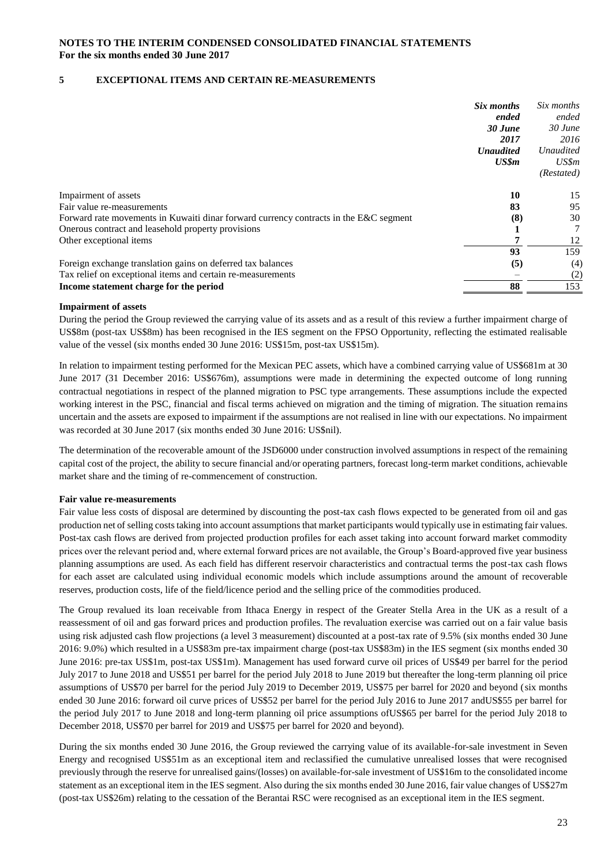### **5 EXCEPTIONAL ITEMS AND CERTAIN RE-MEASUREMENTS**

|                                                                                       | Six months       | Six months       |
|---------------------------------------------------------------------------------------|------------------|------------------|
|                                                                                       | ended            | ended            |
|                                                                                       | 30 June          | $30$ June        |
|                                                                                       | 2017             | 2016             |
|                                                                                       | <b>Unaudited</b> | <b>Unaudited</b> |
|                                                                                       | US\$m            | US\$m            |
|                                                                                       |                  | (Restated)       |
| Impairment of assets                                                                  | 10               | 15               |
| Fair value re-measurements                                                            | 83               | 95               |
| Forward rate movements in Kuwaiti dinar forward currency contracts in the E&C segment | (8)              | 30               |
| Onerous contract and leasehold property provisions                                    |                  |                  |
| Other exceptional items                                                               |                  | 12               |
|                                                                                       | 93               | 159              |
| Foreign exchange translation gains on deferred tax balances                           | (5)              | (4)              |
| Tax relief on exceptional items and certain re-measurements                           |                  | (2)              |
| Income statement charge for the period                                                | 88               | 153              |
|                                                                                       |                  |                  |

#### **Impairment of assets**

During the period the Group reviewed the carrying value of its assets and as a result of this review a further impairment charge of US\$8m (post-tax US\$8m) has been recognised in the IES segment on the FPSO Opportunity, reflecting the estimated realisable value of the vessel (six months ended 30 June 2016: US\$15m, post-tax US\$15m).

In relation to impairment testing performed for the Mexican PEC assets, which have a combined carrying value of US\$681m at 30 June 2017 (31 December 2016: US\$676m), assumptions were made in determining the expected outcome of long running contractual negotiations in respect of the planned migration to PSC type arrangements. These assumptions include the expected working interest in the PSC, financial and fiscal terms achieved on migration and the timing of migration. The situation remains uncertain and the assets are exposed to impairment if the assumptions are not realised in line with our expectations. No impairment was recorded at 30 June 2017 (six months ended 30 June 2016: US\$nil).

The determination of the recoverable amount of the JSD6000 under construction involved assumptions in respect of the remaining capital cost of the project, the ability to secure financial and/or operating partners, forecast long-term market conditions, achievable market share and the timing of re-commencement of construction.

#### **Fair value re-measurements**

Fair value less costs of disposal are determined by discounting the post-tax cash flows expected to be generated from oil and gas production net of selling costs taking into account assumptions that market participants would typically use in estimating fair values. Post-tax cash flows are derived from projected production profiles for each asset taking into account forward market commodity prices over the relevant period and, where external forward prices are not available, the Group's Board-approved five year business planning assumptions are used. As each field has different reservoir characteristics and contractual terms the post-tax cash flows for each asset are calculated using individual economic models which include assumptions around the amount of recoverable reserves, production costs, life of the field/licence period and the selling price of the commodities produced.

The Group revalued its loan receivable from Ithaca Energy in respect of the Greater Stella Area in the UK as a result of a reassessment of oil and gas forward prices and production profiles. The revaluation exercise was carried out on a fair value basis using risk adjusted cash flow projections (a level 3 measurement) discounted at a post-tax rate of 9.5% (six months ended 30 June 2016: 9.0%) which resulted in a US\$83m pre-tax impairment charge (post-tax US\$83m) in the IES segment (six months ended 30 June 2016: pre-tax US\$1m, post-tax US\$1m). Management has used forward curve oil prices of US\$49 per barrel for the period July 2017 to June 2018 and US\$51 per barrel for the period July 2018 to June 2019 but thereafter the long-term planning oil price assumptions of US\$70 per barrel for the period July 2019 to December 2019, US\$75 per barrel for 2020 and beyond (six months ended 30 June 2016: forward oil curve prices of US\$52 per barrel for the period July 2016 to June 2017 andUS\$55 per barrel for the period July 2017 to June 2018 and long-term planning oil price assumptions ofUS\$65 per barrel for the period July 2018 to December 2018, US\$70 per barrel for 2019 and US\$75 per barrel for 2020 and beyond).

During the six months ended 30 June 2016, the Group reviewed the carrying value of its available-for-sale investment in Seven Energy and recognised US\$51m as an exceptional item and reclassified the cumulative unrealised losses that were recognised previously through the reserve for unrealised gains/(losses) on available-for-sale investment of US\$16m to the consolidated income statement as an exceptional item in the IES segment. Also during the six months ended 30 June 2016, fair value changes of US\$27m (post-tax US\$26m) relating to the cessation of the Berantai RSC were recognised as an exceptional item in the IES segment.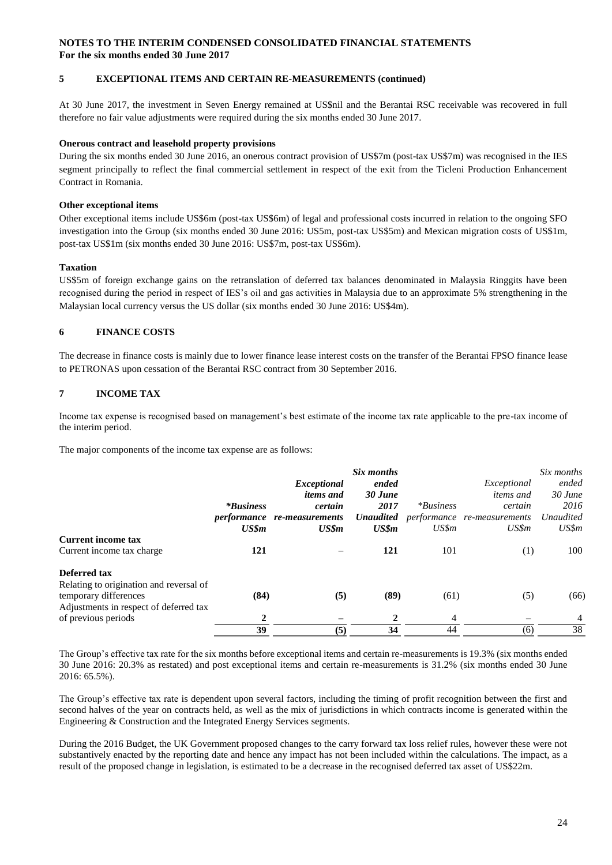#### **5 EXCEPTIONAL ITEMS AND CERTAIN RE-MEASUREMENTS (continued)**

At 30 June 2017, the investment in Seven Energy remained at US\$nil and the Berantai RSC receivable was recovered in full therefore no fair value adjustments were required during the six months ended 30 June 2017.

#### **Onerous contract and leasehold property provisions**

During the six months ended 30 June 2016, an onerous contract provision of US\$7m (post-tax US\$7m) was recognised in the IES segment principally to reflect the final commercial settlement in respect of the exit from the Ticleni Production Enhancement Contract in Romania.

#### **Other exceptional items**

Other exceptional items include US\$6m (post-tax US\$6m) of legal and professional costs incurred in relation to the ongoing SFO investigation into the Group (six months ended 30 June 2016: US5m, post-tax US\$5m) and Mexican migration costs of US\$1m, post-tax US\$1m (six months ended 30 June 2016: US\$7m, post-tax US\$6m).

#### **Taxation**

US\$5m of foreign exchange gains on the retranslation of deferred tax balances denominated in Malaysia Ringgits have been recognised during the period in respect of IES's oil and gas activities in Malaysia due to an approximate 5% strengthening in the Malaysian local currency versus the US dollar (six months ended 30 June 2016: US\$4m).

#### **6 FINANCE COSTS**

The decrease in finance costs is mainly due to lower finance lease interest costs on the transfer of the Berantai FPSO finance lease to PETRONAS upon cessation of the Berantai RSC contract from 30 September 2016.

#### **7 INCOME TAX**

Income tax expense is recognised based on management's best estimate of the income tax rate applicable to the pre-tax income of the interim period.

The major components of the income tax expense are as follows:

|                                         |                  |                                    | Six months |             |                                              | Six months       |
|-----------------------------------------|------------------|------------------------------------|------------|-------------|----------------------------------------------|------------------|
|                                         |                  | Exceptional                        | ended      |             | Exceptional                                  | ended            |
|                                         |                  | <i>items and</i>                   | 30 June    |             | <i>items and</i>                             | $30$ June        |
|                                         | <i>*Business</i> | certain                            | 2017       | $*Business$ | certain                                      | 2016             |
|                                         |                  | <i>performance</i> re-measurements |            |             | <b>Unaudited</b> performance re-measurements | <b>Unaudited</b> |
|                                         | US\$m            | US\$m                              | US\$m      | US\$m       | US\$m                                        | US\$m            |
| <b>Current income tax</b>               |                  |                                    |            |             |                                              |                  |
| Current income tax charge               | 121              |                                    | 121        | 101         | (1)                                          | 100              |
| <b>Deferred tax</b>                     |                  |                                    |            |             |                                              |                  |
| Relating to origination and reversal of |                  |                                    |            |             |                                              |                  |
| temporary differences                   | (84)             | (5)                                | (89)       | (61)        | (5)                                          | (66)             |
| Adjustments in respect of deferred tax  |                  |                                    |            |             |                                              |                  |
| of previous periods                     | 2                |                                    |            | 4           |                                              | $\overline{4}$   |
|                                         | 39               | (5)                                | 34         | 44          | (6)                                          | 38               |
|                                         |                  |                                    |            |             |                                              |                  |

The Group's effective tax rate for the six months before exceptional items and certain re-measurements is 19.3% (six months ended 30 June 2016: 20.3% as restated) and post exceptional items and certain re-measurements is 31.2% (six months ended 30 June 2016: 65.5%).

The Group's effective tax rate is dependent upon several factors, including the timing of profit recognition between the first and second halves of the year on contracts held, as well as the mix of jurisdictions in which contracts income is generated within the Engineering & Construction and the Integrated Energy Services segments.

During the 2016 Budget, the UK Government proposed changes to the carry forward tax loss relief rules, however these were not substantively enacted by the reporting date and hence any impact has not been included within the calculations. The impact, as a result of the proposed change in legislation, is estimated to be a decrease in the recognised deferred tax asset of US\$22m.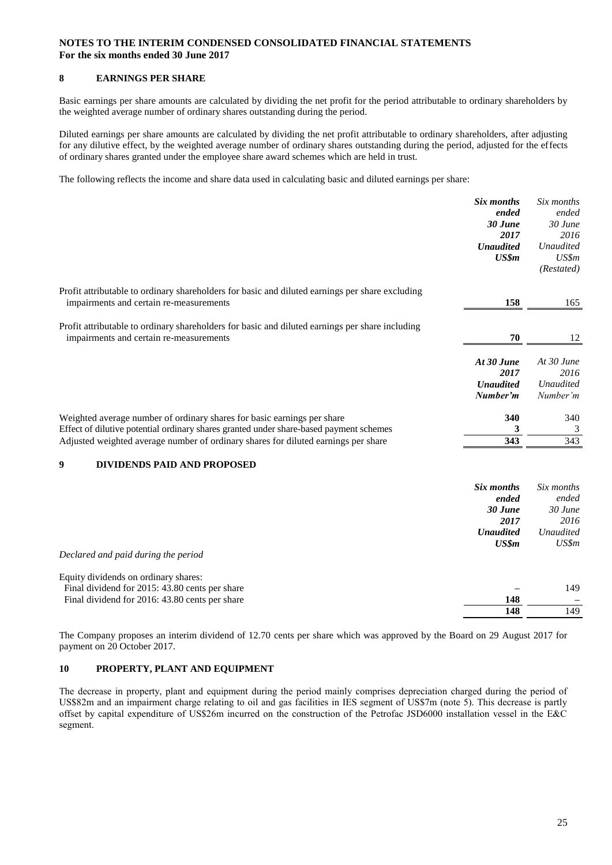#### **8 EARNINGS PER SHARE**

Basic earnings per share amounts are calculated by dividing the net profit for the period attributable to ordinary shareholders by the weighted average number of ordinary shares outstanding during the period.

Diluted earnings per share amounts are calculated by dividing the net profit attributable to ordinary shareholders, after adjusting for any dilutive effect, by the weighted average number of ordinary shares outstanding during the period, adjusted for the effects of ordinary shares granted under the employee share award schemes which are held in trust.

The following reflects the income and share data used in calculating basic and diluted earnings per share:

|                                                                                                 | Six months<br>ended          | Six months<br>ended          |
|-------------------------------------------------------------------------------------------------|------------------------------|------------------------------|
|                                                                                                 | 30 June                      | $30$ June                    |
|                                                                                                 | 2017<br><b>Unaudited</b>     | 2016<br><b>Unaudited</b>     |
|                                                                                                 | US\$m                        | US\$m                        |
|                                                                                                 |                              | (Restated)                   |
| Profit attributable to ordinary shareholders for basic and diluted earnings per share excluding |                              |                              |
| impairments and certain re-measurements                                                         | 158                          | 165                          |
| Profit attributable to ordinary shareholders for basic and diluted earnings per share including |                              |                              |
| impairments and certain re-measurements                                                         | 70                           | 12                           |
|                                                                                                 | At 30 June                   | At $30$ June                 |
|                                                                                                 | 2017                         | 2016                         |
|                                                                                                 | <b>Unaudited</b><br>Number'm | <b>Unaudited</b><br>Number'm |
|                                                                                                 |                              |                              |
| Weighted average number of ordinary shares for basic earnings per share                         | 340                          | 340                          |
| Effect of dilutive potential ordinary shares granted under share-based payment schemes          | 3                            | 3                            |
| Adjusted weighted average number of ordinary shares for diluted earnings per share              | 343                          | 343                          |
| DIVIDENDS PAID AND PROPOSED<br>9                                                                |                              |                              |
|                                                                                                 | Six months                   | Six months                   |
|                                                                                                 | ended                        | ended                        |
|                                                                                                 | 30 June                      | 30 June                      |
|                                                                                                 | 2017<br><b>Unaudited</b>     | 2016<br><b>Unaudited</b>     |
|                                                                                                 | US\$m                        | US\$m                        |
| Declared and paid during the period                                                             |                              |                              |
| Equity dividends on ordinary shares:                                                            |                              |                              |
| Final dividend for 2015: 43.80 cents per share                                                  |                              | 149                          |
| Final dividend for 2016: 43.80 cents per share                                                  | 148                          | $\overline{149}$             |
|                                                                                                 | 148                          |                              |

The Company proposes an interim dividend of 12.70 cents per share which was approved by the Board on 29 August 2017 for payment on 20 October 2017.

#### **10 PROPERTY, PLANT AND EQUIPMENT**

The decrease in property, plant and equipment during the period mainly comprises depreciation charged during the period of US\$82m and an impairment charge relating to oil and gas facilities in IES segment of US\$7m (note 5). This decrease is partly offset by capital expenditure of US\$26m incurred on the construction of the Petrofac JSD6000 installation vessel in the E&C segment.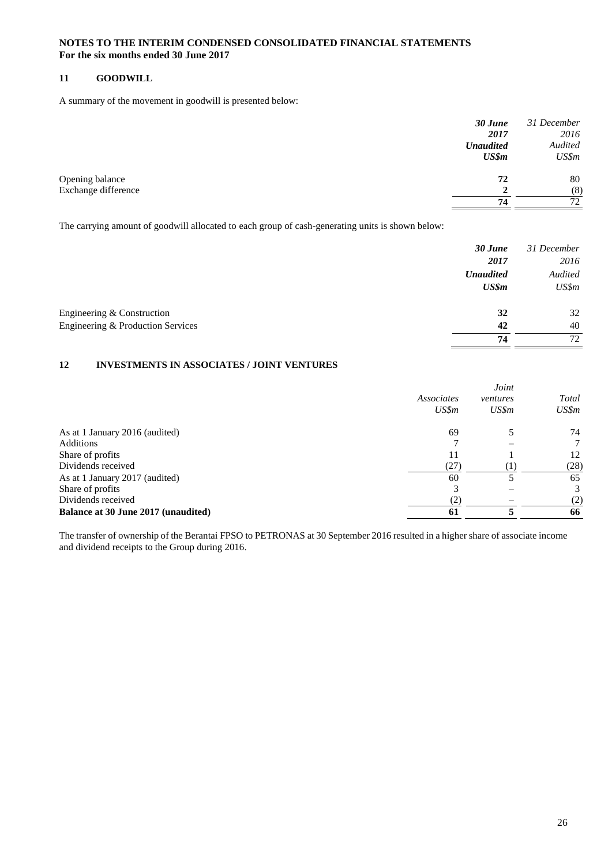#### **11 GOODWILL**

A summary of the movement in goodwill is presented below:

|                     | 30 June          | 31 December |
|---------------------|------------------|-------------|
|                     | 2017             | 2016        |
|                     | <b>Unaudited</b> | Audited     |
|                     | US\$m            | US\$m       |
| Opening balance     | 72               | 80          |
| Exchange difference |                  | (8)         |
|                     | 74               | 72          |
|                     |                  |             |

The carrying amount of goodwill allocated to each group of cash-generating units is shown below:

|                                   | 30 June          | 31 December |
|-----------------------------------|------------------|-------------|
|                                   | 2017             | 2016        |
|                                   | <b>Unaudited</b> | Audited     |
|                                   | US\$m            | US\$m       |
| Engineering & Construction        | 32               | 32          |
| Engineering & Production Services | 42               | 40          |
|                                   | 74               | 72          |

### **12 INVESTMENTS IN ASSOCIATES / JOINT VENTURES**

|                                     |                     | Joint             |                |
|-------------------------------------|---------------------|-------------------|----------------|
|                                     | Associates<br>US\$m | ventures<br>US\$m | Total<br>US\$m |
| As at 1 January 2016 (audited)      | 69                  |                   | 74             |
| Additions                           | ⇁                   |                   |                |
| Share of profits                    | 11                  |                   | 12             |
| Dividends received                  | (27)                |                   | (28)           |
| As at 1 January 2017 (audited)      | 60                  |                   | 65             |
| Share of profits                    | 3                   |                   | 3              |
| Dividends received                  | (2)                 |                   | (2)            |
| Balance at 30 June 2017 (unaudited) | 61                  |                   | 66             |

The transfer of ownership of the Berantai FPSO to PETRONAS at 30 September 2016 resulted in a higher share of associate income and dividend receipts to the Group during 2016.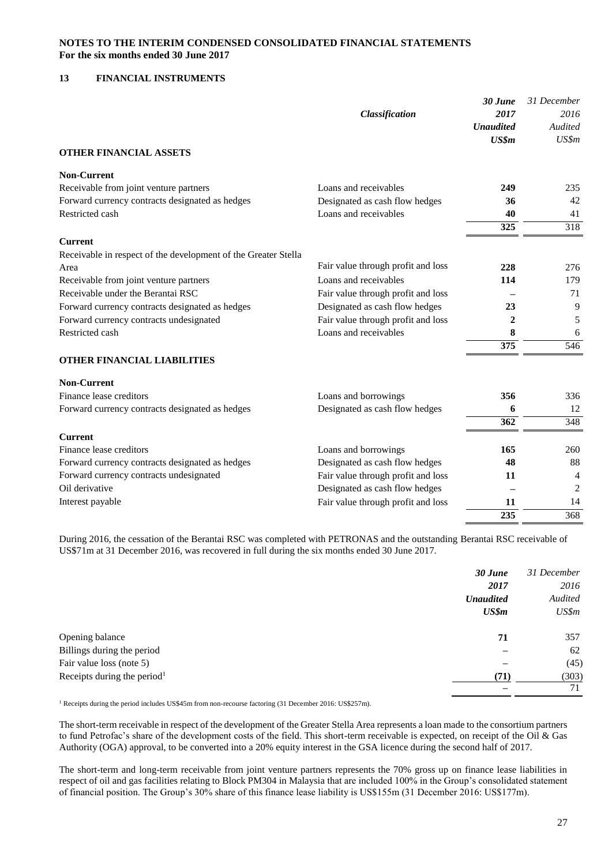#### **13 FINANCIAL INSTRUMENTS**

|                                                                |                                    | 30 June          | 31 December      |
|----------------------------------------------------------------|------------------------------------|------------------|------------------|
|                                                                | Classification                     | 2017             | 2016             |
|                                                                |                                    | <b>Unaudited</b> | Audited          |
|                                                                |                                    | US\$m            | US\$m            |
| <b>OTHER FINANCIAL ASSETS</b>                                  |                                    |                  |                  |
| <b>Non-Current</b>                                             |                                    |                  |                  |
| Receivable from joint venture partners                         | Loans and receivables              | 249              | 235              |
| Forward currency contracts designated as hedges                | Designated as cash flow hedges     | 36               | 42               |
| Restricted cash                                                | Loans and receivables              | 40               | 41               |
|                                                                |                                    | 325              | $\overline{318}$ |
| <b>Current</b>                                                 |                                    |                  |                  |
| Receivable in respect of the development of the Greater Stella |                                    |                  |                  |
| Area                                                           | Fair value through profit and loss | 228              | 276              |
| Receivable from joint venture partners                         | Loans and receivables              | 114              | 179              |
| Receivable under the Berantai RSC                              | Fair value through profit and loss |                  | 71               |
| Forward currency contracts designated as hedges                | Designated as cash flow hedges     | 23               | 9                |
| Forward currency contracts undesignated                        | Fair value through profit and loss | $\mathbf{2}$     | 5                |
| Restricted cash                                                | Loans and receivables              | 8                | 6                |
|                                                                |                                    | 375              | 546              |
| <b>OTHER FINANCIAL LIABILITIES</b>                             |                                    |                  |                  |
| <b>Non-Current</b>                                             |                                    |                  |                  |
| Finance lease creditors                                        | Loans and borrowings               | 356              | 336              |
| Forward currency contracts designated as hedges                | Designated as cash flow hedges     | 6                | 12               |
|                                                                |                                    | $\overline{362}$ | 348              |
| <b>Current</b>                                                 |                                    |                  |                  |
| Finance lease creditors                                        | Loans and borrowings               | 165              | 260              |
| Forward currency contracts designated as hedges                | Designated as cash flow hedges     | 48               | 88               |
| Forward currency contracts undesignated                        | Fair value through profit and loss | 11               | 4                |
| Oil derivative                                                 | Designated as cash flow hedges     |                  | $\overline{2}$   |
| Interest payable                                               | Fair value through profit and loss | 11               | 14               |
|                                                                |                                    | 235              | 368              |

During 2016, the cessation of the Berantai RSC was completed with PETRONAS and the outstanding Berantai RSC receivable of US\$71m at 31 December 2016, was recovered in full during the six months ended 30 June 2017.

|                                         | 30 June          | 31 December |
|-----------------------------------------|------------------|-------------|
|                                         | 2017             | 2016        |
|                                         | <b>Unaudited</b> | Audited     |
|                                         | US\$m            | US\$m       |
| Opening balance                         | 71               | 357         |
| Billings during the period              |                  | 62          |
| Fair value loss (note 5)                |                  | (45)        |
| Receipts during the period <sup>1</sup> | (71)             | (303)       |
|                                         |                  | 71          |

<sup>1</sup> Receipts during the period includes US\$45m from non-recourse factoring (31 December 2016: US\$257m).

The short-term receivable in respect of the development of the Greater Stella Area represents a loan made to the consortium partners to fund Petrofac's share of the development costs of the field. This short-term receivable is expected, on receipt of the Oil & Gas Authority (OGA) approval, to be converted into a 20% equity interest in the GSA licence during the second half of 2017.

The short-term and long-term receivable from joint venture partners represents the 70% gross up on finance lease liabilities in respect of oil and gas facilities relating to Block PM304 in Malaysia that are included 100% in the Group's consolidated statement of financial position. The Group's 30% share of this finance lease liability is US\$155m (31 December 2016: US\$177m).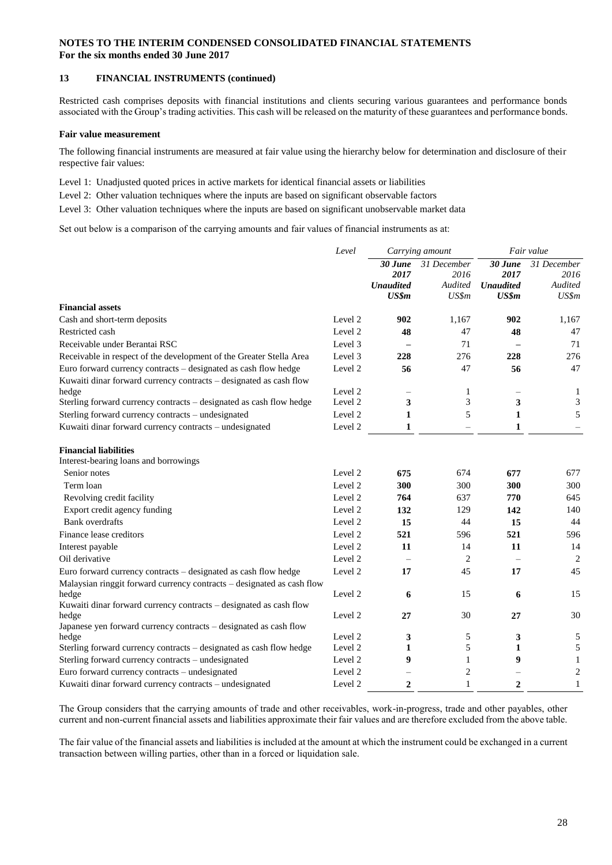#### **13 FINANCIAL INSTRUMENTS (continued)**

Restricted cash comprises deposits with financial institutions and clients securing various guarantees and performance bonds associated with the Group's trading activities. This cash will be released on the maturity of these guarantees and performance bonds.

#### **Fair value measurement**

The following financial instruments are measured at fair value using the hierarchy below for determination and disclosure of their respective fair values:

Level 1: Unadjusted quoted prices in active markets for identical financial assets or liabilities

Level 2: Other valuation techniques where the inputs are based on significant observable factors

Level 3: Other valuation techniques where the inputs are based on significant unobservable market data

Set out below is a comparison of the carrying amounts and fair values of financial instruments as at:

|                                                                                                                                       | Level              |                                                | Carrying amount                         | Fair value                                   |                                         |
|---------------------------------------------------------------------------------------------------------------------------------------|--------------------|------------------------------------------------|-----------------------------------------|----------------------------------------------|-----------------------------------------|
|                                                                                                                                       |                    | $30$ June<br>2017<br><b>Unaudited</b><br>US\$m | 31 December<br>2016<br>Audited<br>US\$m | 30 June<br>2017<br><b>Unaudited</b><br>US\$m | 31 December<br>2016<br>Audited<br>US\$m |
| <b>Financial assets</b>                                                                                                               |                    |                                                |                                         |                                              |                                         |
| Cash and short-term deposits                                                                                                          | Level 2            | 902                                            | 1,167                                   | 902                                          | 1,167                                   |
| Restricted cash                                                                                                                       | Level 2            | 48                                             | 47                                      | 48                                           | 47                                      |
| Receivable under Berantai RSC                                                                                                         | Level 3            |                                                | 71                                      |                                              | 71                                      |
| Receivable in respect of the development of the Greater Stella Area                                                                   | Level 3            | 228                                            | 276                                     | 228                                          | 276                                     |
| Euro forward currency contracts - designated as cash flow hedge<br>Kuwaiti dinar forward currency contracts - designated as cash flow | Level 2            | 56                                             | 47                                      | 56                                           | 47                                      |
| hedge                                                                                                                                 | Level 2            | $\overline{\phantom{0}}$                       | 1                                       | $\overline{\phantom{0}}$                     | 1                                       |
| Sterling forward currency contracts - designated as cash flow hedge                                                                   | Level 2            | 3                                              | 3                                       | 3                                            | 3                                       |
| Sterling forward currency contracts - undesignated                                                                                    | Level 2            | 1                                              | 5                                       | 1                                            | 5                                       |
| Kuwaiti dinar forward currency contracts - undesignated                                                                               | Level <sub>2</sub> | 1                                              | $\overline{\phantom{0}}$                | 1                                            |                                         |
| <b>Financial liabilities</b><br>Interest-bearing loans and borrowings                                                                 |                    |                                                |                                         |                                              |                                         |
| Senior notes                                                                                                                          | Level 2            | 675                                            | 674                                     | 677                                          | 677                                     |
| Term loan                                                                                                                             | Level 2            | 300                                            | 300                                     | 300                                          | 300                                     |
| Revolving credit facility                                                                                                             | Level 2            | 764                                            | 637                                     | 770                                          | 645                                     |
| Export credit agency funding                                                                                                          | Level 2            | 132                                            | 129                                     | 142                                          | 140                                     |
| <b>Bank</b> overdrafts                                                                                                                | Level 2            | 15                                             | 44                                      | 15                                           | 44                                      |
| Finance lease creditors                                                                                                               | Level 2            | 521                                            | 596                                     | 521                                          | 596                                     |
| Interest payable                                                                                                                      | Level 2            | 11                                             | 14                                      | 11                                           | 14                                      |
| Oil derivative                                                                                                                        | Level 2            |                                                | $\overline{c}$                          |                                              | $\overline{2}$                          |
| Euro forward currency contracts - designated as cash flow hedge                                                                       | Level 2            | 17                                             | 45                                      | 17                                           | 45                                      |
| Malaysian ringgit forward currency contracts - designated as cash flow<br>hedge                                                       | Level 2            | 6                                              | 15                                      | 6                                            | 15                                      |
| Kuwaiti dinar forward currency contracts – designated as cash flow                                                                    |                    |                                                |                                         |                                              |                                         |
| hedge                                                                                                                                 | Level 2            | 27                                             | 30                                      | 27                                           | 30                                      |
| Japanese yen forward currency contracts - designated as cash flow                                                                     |                    |                                                |                                         |                                              |                                         |
| hedge                                                                                                                                 | Level 2            | 3                                              | 5                                       | 3                                            | 5                                       |
| Sterling forward currency contracts - designated as cash flow hedge                                                                   | Level 2            | 1                                              | 5                                       | 1                                            | 5                                       |
| Sterling forward currency contracts - undesignated                                                                                    | Level 2            | 9                                              | 1                                       | 9                                            | $\mathbf{1}$                            |
| Euro forward currency contracts - undesignated                                                                                        | Level 2            |                                                | 2                                       |                                              | $\overline{c}$                          |
| Kuwaiti dinar forward currency contracts - undesignated                                                                               | Level 2            | $\mathbf{2}$                                   | 1                                       | $\mathbf{2}$                                 | 1                                       |

The Group considers that the carrying amounts of trade and other receivables, work-in-progress, trade and other payables, other current and non-current financial assets and liabilities approximate their fair values and are therefore excluded from the above table.

The fair value of the financial assets and liabilities is included at the amount at which the instrument could be exchanged in a current transaction between willing parties, other than in a forced or liquidation sale.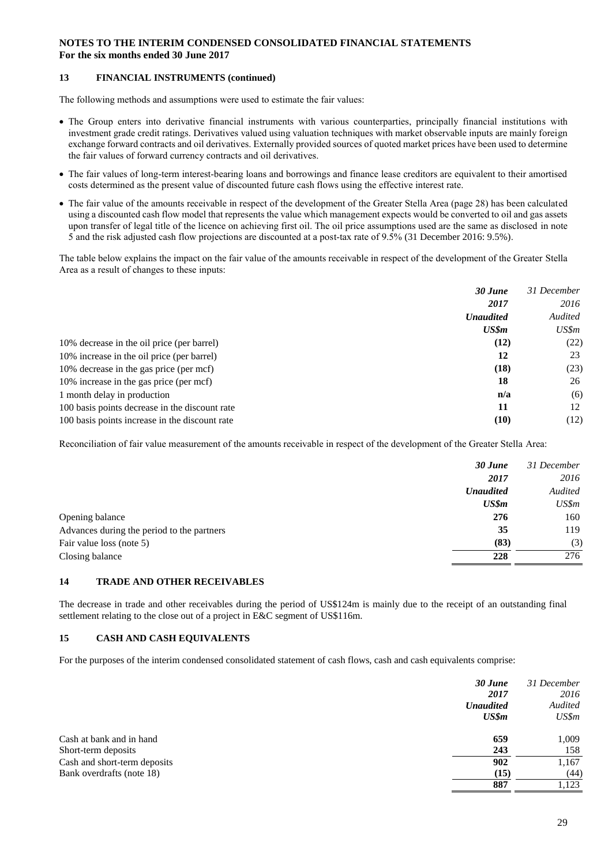#### **13 FINANCIAL INSTRUMENTS (continued)**

The following methods and assumptions were used to estimate the fair values:

- The Group enters into derivative financial instruments with various counterparties, principally financial institutions with investment grade credit ratings. Derivatives valued using valuation techniques with market observable inputs are mainly foreign exchange forward contracts and oil derivatives. Externally provided sources of quoted market prices have been used to determine the fair values of forward currency contracts and oil derivatives.
- The fair values of long-term interest-bearing loans and borrowings and finance lease creditors are equivalent to their amortised costs determined as the present value of discounted future cash flows using the effective interest rate.
- The fair value of the amounts receivable in respect of the development of the Greater Stella Area (page 28) has been calculated using a discounted cash flow model that represents the value which management expects would be converted to oil and gas assets upon transfer of legal title of the licence on achieving first oil. The oil price assumptions used are the same as disclosed in note 5 and the risk adjusted cash flow projections are discounted at a post-tax rate of 9.5% (31 December 2016: 9.5%).

The table below explains the impact on the fair value of the amounts receivable in respect of the development of the Greater Stella Area as a result of changes to these inputs:

|                                                | 30 June          | 31 December |
|------------------------------------------------|------------------|-------------|
|                                                | 2017             | 2016        |
|                                                | <b>Unaudited</b> | Audited     |
|                                                | US\$m            | US\$m       |
| 10% decrease in the oil price (per barrel)     | (12)             | (22)        |
| 10% increase in the oil price (per barrel)     | 12               | 23          |
| 10% decrease in the gas price (per mcf)        | (18)             | (23)        |
| 10% increase in the gas price (per mcf)        | 18               | 26          |
| 1 month delay in production                    | n/a              | (6)         |
| 100 basis points decrease in the discount rate | 11               | 12          |
| 100 basis points increase in the discount rate | (10)             | (12)        |

Reconciliation of fair value measurement of the amounts receivable in respect of the development of the Greater Stella Area:

|                                            | 30 June          | 31 December |
|--------------------------------------------|------------------|-------------|
|                                            | 2017             | 2016        |
|                                            | <b>Unaudited</b> | Audited     |
|                                            | US\$m            | US\$m       |
| Opening balance                            | 276              | 160         |
| Advances during the period to the partners | 35               | 119         |
| Fair value loss (note 5)                   | (83)             | (3)         |
| Closing balance                            | 228              | 276         |

#### **14 TRADE AND OTHER RECEIVABLES**

The decrease in trade and other receivables during the period of US\$124m is mainly due to the receipt of an outstanding final settlement relating to the close out of a project in E&C segment of US\$116m.

#### **15 CASH AND CASH EQUIVALENTS**

For the purposes of the interim condensed consolidated statement of cash flows, cash and cash equivalents comprise:

|                              | 30 June          | 31 December |
|------------------------------|------------------|-------------|
|                              | 2017             | 2016        |
|                              | <b>Unaudited</b> | Audited     |
|                              | US\$m            | US\$m       |
| Cash at bank and in hand     | 659              | 1,009       |
| Short-term deposits          | 243              | 158         |
| Cash and short-term deposits | 902              | 1,167       |
| Bank overdrafts (note 18)    | (15)             | (44)        |
|                              | 887              | 1.123       |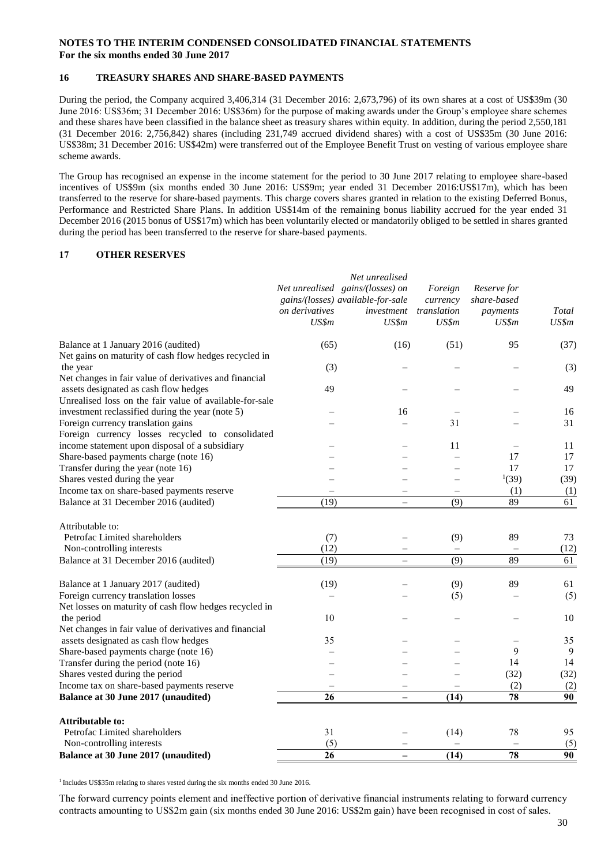#### **16 TREASURY SHARES AND SHARE-BASED PAYMENTS**

During the period, the Company acquired 3,406,314 (31 December 2016: 2,673,796) of its own shares at a cost of US\$39m (30 June 2016: US\$36m; 31 December 2016: US\$36m) for the purpose of making awards under the Group's employee share schemes and these shares have been classified in the balance sheet as treasury shares within equity. In addition, during the period 2,550,181 (31 December 2016: 2,756,842) shares (including 231,749 accrued dividend shares) with a cost of US\$35m (30 June 2016: US\$38m; 31 December 2016: US\$42m) were transferred out of the Employee Benefit Trust on vesting of various employee share scheme awards.

The Group has recognised an expense in the income statement for the period to 30 June 2017 relating to employee share-based incentives of US\$9m (six months ended 30 June 2016: US\$9m; year ended 31 December 2016:US\$17m), which has been transferred to the reserve for share-based payments. This charge covers shares granted in relation to the existing Deferred Bonus, Performance and Restricted Share Plans. In addition US\$14m of the remaining bonus liability accrued for the year ended 31 December 2016 (2015 bonus of US\$17m) which has been voluntarily elected or mandatorily obliged to be settled in shares granted during the period has been transferred to the reserve for share-based payments.

#### **17 OTHER RESERVES**

|                                                         | on derivatives<br>US\$m | Net unrealised<br>Net unrealised gains/(losses) on<br>gains/(losses) available-for-sale<br>investment<br>US\$m | Foreign<br>currency<br>translation<br>US\$m | Reserve for<br>share-based<br>payments<br>US\$m | Total<br>US\$m  |
|---------------------------------------------------------|-------------------------|----------------------------------------------------------------------------------------------------------------|---------------------------------------------|-------------------------------------------------|-----------------|
| Balance at 1 January 2016 (audited)                     | (65)                    | (16)                                                                                                           | (51)                                        | 95                                              | (37)            |
| Net gains on maturity of cash flow hedges recycled in   |                         |                                                                                                                |                                             |                                                 |                 |
| the year                                                | (3)                     |                                                                                                                |                                             |                                                 | (3)             |
| Net changes in fair value of derivatives and financial  |                         |                                                                                                                |                                             |                                                 |                 |
| assets designated as cash flow hedges                   | 49                      |                                                                                                                |                                             |                                                 | 49              |
| Unrealised loss on the fair value of available-for-sale |                         |                                                                                                                |                                             |                                                 |                 |
| investment reclassified during the year (note 5)        |                         | 16                                                                                                             |                                             |                                                 | 16              |
| Foreign currency translation gains                      |                         |                                                                                                                | 31                                          |                                                 | 31              |
| Foreign currency losses recycled to consolidated        |                         |                                                                                                                |                                             |                                                 |                 |
| income statement upon disposal of a subsidiary          |                         |                                                                                                                | 11                                          |                                                 | 11              |
| Share-based payments charge (note 16)                   |                         |                                                                                                                |                                             | 17                                              | 17              |
| Transfer during the year (note 16)                      |                         |                                                                                                                |                                             | 17                                              | 17              |
| Shares vested during the year                           |                         |                                                                                                                |                                             | (39)                                            | (39)            |
| Income tax on share-based payments reserve              |                         | $\overline{\phantom{0}}$                                                                                       | $\qquad \qquad -$                           | (1)                                             | (1)             |
| Balance at 31 December 2016 (audited)                   | (19)                    | $\overline{\phantom{0}}$                                                                                       | (9)                                         | 89                                              | $\overline{61}$ |
| Attributable to:                                        |                         |                                                                                                                |                                             |                                                 |                 |
| Petrofac Limited shareholders                           | (7)                     |                                                                                                                | (9)                                         | 89                                              | 73              |
| Non-controlling interests                               | (12)                    |                                                                                                                | $\overline{\phantom{0}}$                    |                                                 | (12)            |
| Balance at 31 December 2016 (audited)                   | (19)                    | $\overline{\phantom{0}}$                                                                                       | (9)                                         | 89                                              | 61              |
| Balance at 1 January 2017 (audited)                     | (19)                    |                                                                                                                | (9)                                         | 89                                              | 61              |
| Foreign currency translation losses                     |                         |                                                                                                                | (5)                                         |                                                 | (5)             |
| Net losses on maturity of cash flow hedges recycled in  |                         |                                                                                                                |                                             |                                                 |                 |
| the period                                              | 10                      |                                                                                                                |                                             |                                                 | 10              |
| Net changes in fair value of derivatives and financial  |                         |                                                                                                                |                                             |                                                 |                 |
| assets designated as cash flow hedges                   | 35                      |                                                                                                                |                                             |                                                 | 35              |
| Share-based payments charge (note 16)                   | L.                      |                                                                                                                |                                             | 9                                               | 9               |
| Transfer during the period (note 16)                    |                         |                                                                                                                |                                             | 14                                              | 14              |
| Shares vested during the period                         |                         |                                                                                                                |                                             | (32)                                            | (32)            |
| Income tax on share-based payments reserve              |                         |                                                                                                                |                                             | (2)                                             | (2)             |
| Balance at 30 June 2017 (unaudited)                     | 26                      | -                                                                                                              | (14)                                        | $\overline{78}$                                 | $\overline{90}$ |
| Attributable to:                                        |                         |                                                                                                                |                                             |                                                 |                 |
| Petrofac Limited shareholders                           | 31                      |                                                                                                                | (14)                                        | 78                                              | 95              |
| Non-controlling interests                               | (5)                     |                                                                                                                |                                             |                                                 | (5)             |
| Balance at 30 June 2017 (unaudited)                     | $\overline{26}$         | $\overline{\phantom{0}}$                                                                                       | $\overline{(14)}$                           | 78                                              | $\overline{90}$ |

<sup>1</sup> Includes US\$35m relating to shares vested during the six months ended 30 June 2016.

The forward currency points element and ineffective portion of derivative financial instruments relating to forward currency contracts amounting to US\$2m gain (six months ended 30 June 2016: US\$2m gain) have been recognised in cost of sales.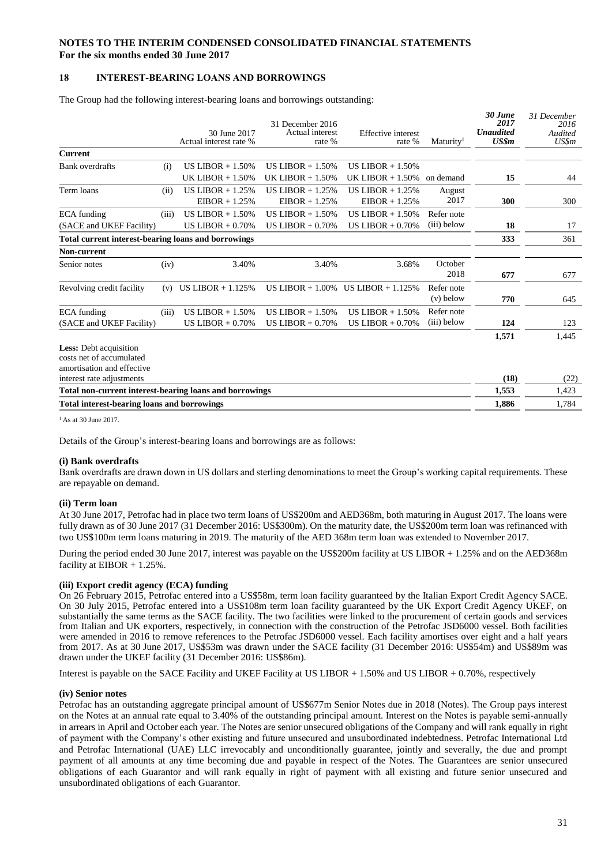#### **18 INTEREST-BEARING LOANS AND BORROWINGS**

The Group had the following interest-bearing loans and borrowings outstanding:

|                                                            |       |                        | 31 December 2016    |                           |                       | 30 June<br>2017  | 31 December<br>2016 |
|------------------------------------------------------------|-------|------------------------|---------------------|---------------------------|-----------------------|------------------|---------------------|
|                                                            |       | 30 June 2017           | Actual interest     | <b>Effective</b> interest |                       | <b>Unaudited</b> | Audited             |
|                                                            |       | Actual interest rate % | rate %              | rate %                    | Maturity <sup>1</sup> | US\$m            | US\$m               |
| <b>Current</b>                                             |       |                        |                     |                           |                       |                  |                     |
| <b>Bank</b> overdrafts                                     | (i)   | US LIBOR $+ 1.50\%$    | US LIBOR $+ 1.50\%$ | US LIBOR $+ 1.50\%$       |                       |                  |                     |
|                                                            |       | UK LIBOR $+ 1.50\%$    | UK LIBOR $+1.50\%$  | UK LIBOR $+ 1.50\%$       | on demand             | 15               | 44                  |
| Term loans                                                 | (ii)  | US LIBOR $+ 1.25%$     | US LIBOR $+ 1.25%$  | US LIBOR $+ 1.25%$        | August                |                  |                     |
|                                                            |       | $EIBOR + 1.25%$        | $EIBOR + 1.25%$     | $EIBOR + 1.25%$           | 2017                  | 300              | 300                 |
| <b>ECA</b> funding                                         | (iii) | US LIBOR $+ 1.50\%$    | US LIBOR $+ 1.50\%$ | US LIBOR $+ 1.50\%$       | Refer note            |                  |                     |
| (SACE and UKEF Facility)                                   |       | US LIBOR $+0.70%$      | US LIBOR $+0.70%$   | US LIBOR $+0.70\%$        | (iii) below           | 18               | 17                  |
| <b>Total current interest-bearing loans and borrowings</b> |       |                        |                     |                           |                       | 333              | 361                 |
| <b>Non-current</b>                                         |       |                        |                     |                           |                       |                  |                     |
| Senior notes                                               | (iv)  | 3.40%                  | 3.40%               | 3.68%                     | October               |                  |                     |
|                                                            |       |                        |                     |                           | 2018                  | 677              | 677                 |
| Revolving credit facility                                  | (v)   | US LIBOR $+ 1.125%$    | US LIBOR $+1.00\%$  | US LIBOR $+1.125%$        | Refer note            |                  |                     |
|                                                            |       |                        |                     |                           | $(v)$ below           | 770              | 645                 |
| <b>ECA</b> funding                                         | (iii) | US LIBOR $+ 1.50\%$    | US LIBOR $+ 1.50\%$ | US LIBOR $+ 1.50\%$       | Refer note            |                  |                     |
| (SACE and UKEF Facility)                                   |       | US LIBOR $+0.70%$      | US LIBOR $+0.70%$   | US LIBOR $+0.70\%$        | (iii) below           | 124              | 123                 |
|                                                            |       |                        |                     |                           |                       | 1,571            | 1,445               |
| <b>Less:</b> Debt acquisition                              |       |                        |                     |                           |                       |                  |                     |
| costs net of accumulated                                   |       |                        |                     |                           |                       |                  |                     |
| amortisation and effective                                 |       |                        |                     |                           |                       |                  |                     |
| interest rate adjustments                                  |       |                        |                     |                           |                       | (18)             | (22)                |
| Total non-current interest-bearing loans and borrowings    |       |                        |                     |                           |                       | 1,553            | 1,423               |
| Total interest-bearing loans and borrowings                |       |                        |                     |                           |                       | 1,886            | 1,784               |

 $<sup>1</sup>$  As at 30 June 2017.</sup>

Details of the Group's interest-bearing loans and borrowings are as follows:

#### **(i) Bank overdrafts**

Bank overdrafts are drawn down in US dollars and sterling denominations to meet the Group's working capital requirements. These are repayable on demand.

#### **(ii) Term loan**

At 30 June 2017, Petrofac had in place two term loans of US\$200m and AED368m, both maturing in August 2017. The loans were fully drawn as of 30 June 2017 (31 December 2016: US\$300m). On the maturity date, the US\$200m term loan was refinanced with two US\$100m term loans maturing in 2019. The maturity of the AED 368m term loan was extended to November 2017.

During the period ended 30 June 2017, interest was payable on the US\$200m facility at US LIBOR + 1.25% and on the AED368m facility at  $EIBOR + 1.25\%$ .

#### **(iii) Export credit agency (ECA) funding**

On 26 February 2015, Petrofac entered into a US\$58m, term loan facility guaranteed by the Italian Export Credit Agency SACE. On 30 July 2015, Petrofac entered into a US\$108m term loan facility guaranteed by the UK Export Credit Agency UKEF, on substantially the same terms as the SACE facility. The two facilities were linked to the procurement of certain goods and services from Italian and UK exporters, respectively, in connection with the construction of the Petrofac JSD6000 vessel. Both facilities were amended in 2016 to remove references to the Petrofac JSD6000 vessel. Each facility amortises over eight and a half years from 2017. As at 30 June 2017, US\$53m was drawn under the SACE facility (31 December 2016: US\$54m) and US\$89m was drawn under the UKEF facility (31 December 2016: US\$86m).

Interest is payable on the SACE Facility and UKEF Facility at US LIBOR  $+ 1.50\%$  and US LIBOR  $+ 0.70\%$ , respectively

#### **(iv) Senior notes**

Petrofac has an outstanding aggregate principal amount of US\$677m Senior Notes due in 2018 (Notes). The Group pays interest on the Notes at an annual rate equal to 3.40% of the outstanding principal amount. Interest on the Notes is payable semi-annually in arrears in April and October each year. The Notes are senior unsecured obligations of the Company and will rank equally in right of payment with the Company's other existing and future unsecured and unsubordinated indebtedness. Petrofac International Ltd and Petrofac International (UAE) LLC irrevocably and unconditionally guarantee, jointly and severally, the due and prompt payment of all amounts at any time becoming due and payable in respect of the Notes. The Guarantees are senior unsecured obligations of each Guarantor and will rank equally in right of payment with all existing and future senior unsecured and unsubordinated obligations of each Guarantor.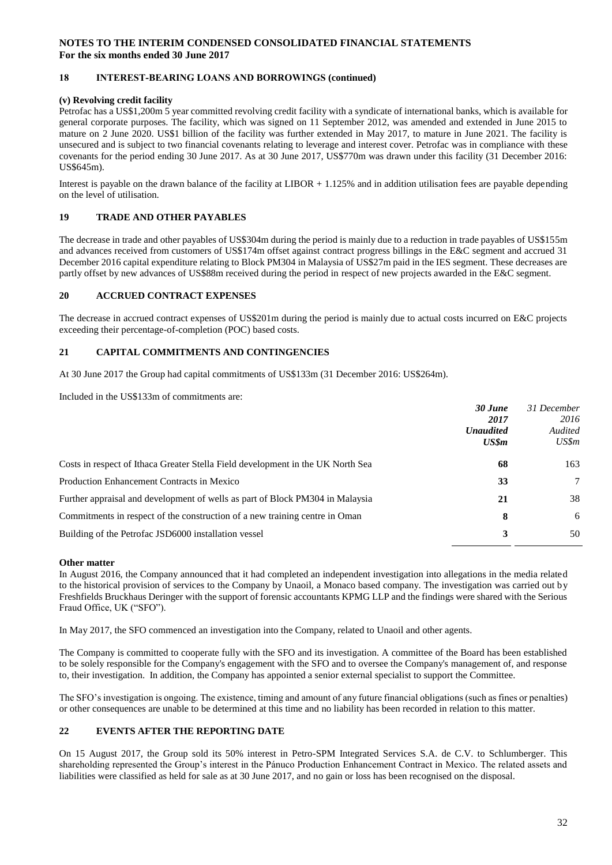#### **18 INTEREST-BEARING LOANS AND BORROWINGS (continued)**

#### **(v) Revolving credit facility**

Petrofac has a US\$1,200m 5 year committed revolving credit facility with a syndicate of international banks, which is available for general corporate purposes. The facility, which was signed on 11 September 2012, was amended and extended in June 2015 to mature on 2 June 2020. US\$1 billion of the facility was further extended in May 2017, to mature in June 2021. The facility is unsecured and is subject to two financial covenants relating to leverage and interest cover. Petrofac was in compliance with these covenants for the period ending 30 June 2017. As at 30 June 2017, US\$770m was drawn under this facility (31 December 2016: US\$645m).

Interest is payable on the drawn balance of the facility at LIBOR + 1.125% and in addition utilisation fees are payable depending on the level of utilisation.

#### **19 TRADE AND OTHER PAYABLES**

The decrease in trade and other payables of US\$304m during the period is mainly due to a reduction in trade payables of US\$155m and advances received from customers of US\$174m offset against contract progress billings in the E&C segment and accrued 31 December 2016 capital expenditure relating to Block PM304 in Malaysia of US\$27m paid in the IES segment. These decreases are partly offset by new advances of US\$88m received during the period in respect of new projects awarded in the E&C segment.

#### **20 ACCRUED CONTRACT EXPENSES**

The decrease in accrued contract expenses of US\$201m during the period is mainly due to actual costs incurred on E&C projects exceeding their percentage-of-completion (POC) based costs.

#### **21 CAPITAL COMMITMENTS AND CONTINGENCIES**

At 30 June 2017 the Group had capital commitments of US\$133m (31 December 2016: US\$264m).

Included in the US\$133m of commitments are:

|                                                                                 | 30 June          | 31 December |
|---------------------------------------------------------------------------------|------------------|-------------|
|                                                                                 | 2017             | 2016        |
|                                                                                 | <b>Unaudited</b> | Audited     |
|                                                                                 | US\$m            | US\$m       |
| Costs in respect of Ithaca Greater Stella Field development in the UK North Sea | 68               | 163         |
| Production Enhancement Contracts in Mexico                                      | 33               | 7           |
| Further appraisal and development of wells as part of Block PM304 in Malaysia   | 21               | 38          |
| Commitments in respect of the construction of a new training centre in Oman     | 8                | 6           |
| Building of the Petrofac JSD6000 installation vessel                            | 3                | 50          |
|                                                                                 |                  |             |

#### **Other matter**

In August 2016, the Company announced that it had completed an independent investigation into allegations in the media related to the historical provision of services to the Company by Unaoil, a Monaco based company. The investigation was carried out by Freshfields Bruckhaus Deringer with the support of forensic accountants KPMG LLP and the findings were shared with the Serious Fraud Office, UK ("SFO").

In May 2017, the SFO commenced an investigation into the Company, related to Unaoil and other agents.

The Company is committed to cooperate fully with the SFO and its investigation. A committee of the Board has been established to be solely responsible for the Company's engagement with the SFO and to oversee the Company's management of, and response to, their investigation. In addition, the Company has appointed a senior external specialist to support the Committee.

The SFO's investigation is ongoing. The existence, timing and amount of any future financial obligations (such as fines or penalties) or other consequences are unable to be determined at this time and no liability has been recorded in relation to this matter.

#### **22 EVENTS AFTER THE REPORTING DATE**

On 15 August 2017, the Group sold its 50% interest in Petro-SPM Integrated Services S.A. de C.V. to Schlumberger. This shareholding represented the Group's interest in the Pánuco Production Enhancement Contract in Mexico. The related assets and liabilities were classified as held for sale as at 30 June 2017, and no gain or loss has been recognised on the disposal.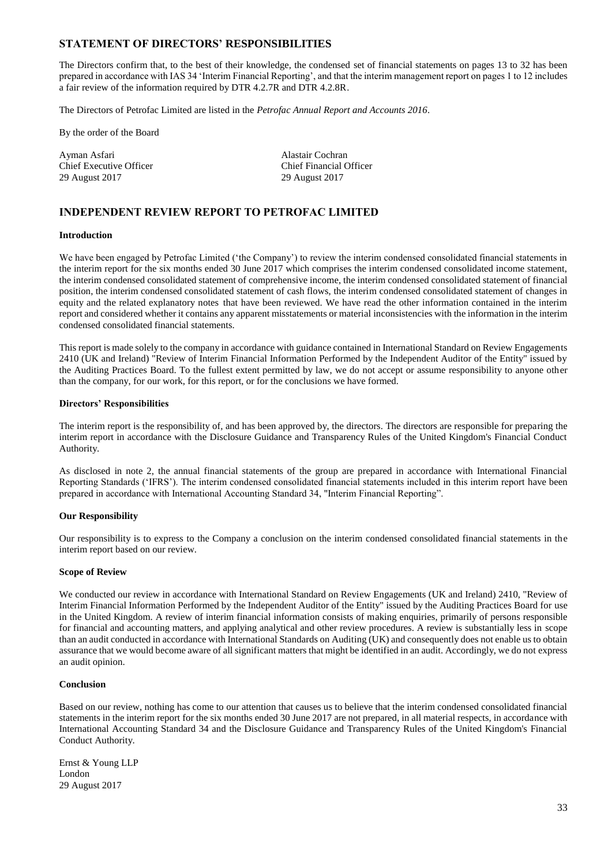#### **STATEMENT OF DIRECTORS' RESPONSIBILITIES**

The Directors confirm that, to the best of their knowledge, the condensed set of financial statements on pages 13 to 32 has been prepared in accordance with IAS 34 'Interim Financial Reporting', and that the interim management report on pages 1 to 12 includes a fair review of the information required by DTR 4.2.7R and DTR 4.2.8R.

The Directors of Petrofac Limited are listed in the *Petrofac Annual Report and Accounts 2016*.

By the order of the Board

Ayman Asfari **Alastair Cochran** Chief Executive Officer<br>
29 August 2017<br>
29 August 2017

29 August 2017 29 August 2017

### **INDEPENDENT REVIEW REPORT TO PETROFAC LIMITED**

#### **Introduction**

We have been engaged by Petrofac Limited ('the Company') to review the interim condensed consolidated financial statements in the interim report for the six months ended 30 June 2017 which comprises the interim condensed consolidated income statement, the interim condensed consolidated statement of comprehensive income, the interim condensed consolidated statement of financial position, the interim condensed consolidated statement of cash flows, the interim condensed consolidated statement of changes in equity and the related explanatory notes that have been reviewed. We have read the other information contained in the interim report and considered whether it contains any apparent misstatements or material inconsistencies with the information in the interim condensed consolidated financial statements.

This report is made solely to the company in accordance with guidance contained in International Standard on Review Engagements 2410 (UK and Ireland) "Review of Interim Financial Information Performed by the Independent Auditor of the Entity" issued by the Auditing Practices Board. To the fullest extent permitted by law, we do not accept or assume responsibility to anyone other than the company, for our work, for this report, or for the conclusions we have formed.

#### **Directors' Responsibilities**

The interim report is the responsibility of, and has been approved by, the directors. The directors are responsible for preparing the interim report in accordance with the Disclosure Guidance and Transparency Rules of the United Kingdom's Financial Conduct Authority.

As disclosed in note 2, the annual financial statements of the group are prepared in accordance with International Financial Reporting Standards ('IFRS'). The interim condensed consolidated financial statements included in this interim report have been prepared in accordance with International Accounting Standard 34, "Interim Financial Reporting".

#### **Our Responsibility**

Our responsibility is to express to the Company a conclusion on the interim condensed consolidated financial statements in the interim report based on our review.

#### **Scope of Review**

We conducted our review in accordance with International Standard on Review Engagements (UK and Ireland) 2410, "Review of Interim Financial Information Performed by the Independent Auditor of the Entity" issued by the Auditing Practices Board for use in the United Kingdom. A review of interim financial information consists of making enquiries, primarily of persons responsible for financial and accounting matters, and applying analytical and other review procedures. A review is substantially less in scope than an audit conducted in accordance with International Standards on Auditing (UK) and consequently does not enable us to obtain assurance that we would become aware of all significant matters that might be identified in an audit. Accordingly, we do not express an audit opinion.

#### **Conclusion**

Based on our review, nothing has come to our attention that causes us to believe that the interim condensed consolidated financial statements in the interim report for the six months ended 30 June 2017 are not prepared, in all material respects, in accordance with International Accounting Standard 34 and the Disclosure Guidance and Transparency Rules of the United Kingdom's Financial Conduct Authority.

Ernst & Young LLP London 29 August 2017